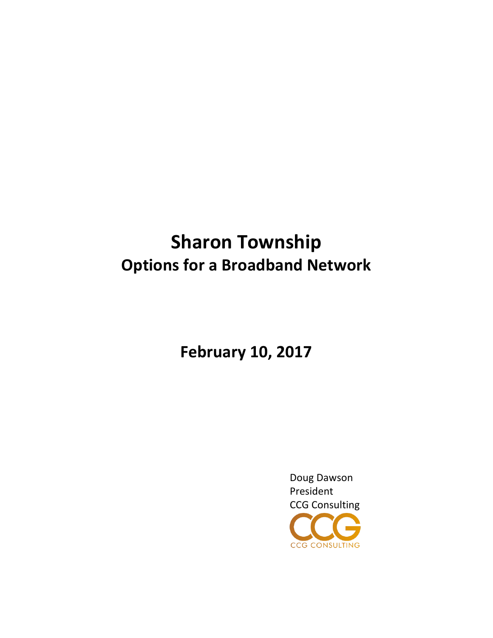# **Sharon Township Options for a Broadband Network**

**February 10, 2017**

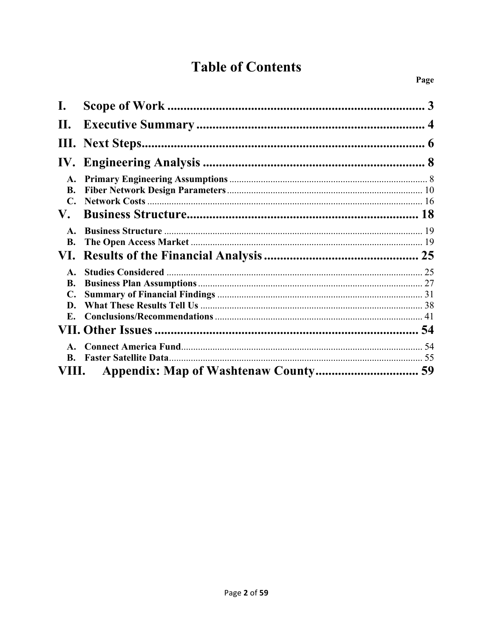# **Table of Contents**

| I.             | 3 |
|----------------|---|
| П.             |   |
|                |   |
|                |   |
| A.             |   |
| <b>B.</b>      |   |
|                |   |
| V.             |   |
| $\mathbf{A}$ . |   |
| <b>B.</b>      |   |
|                |   |
| $\mathbf{A}$ . |   |
| B.             |   |
|                |   |
| D.             |   |
| E.             |   |
|                |   |
|                |   |
| B.             |   |
| VIII.          |   |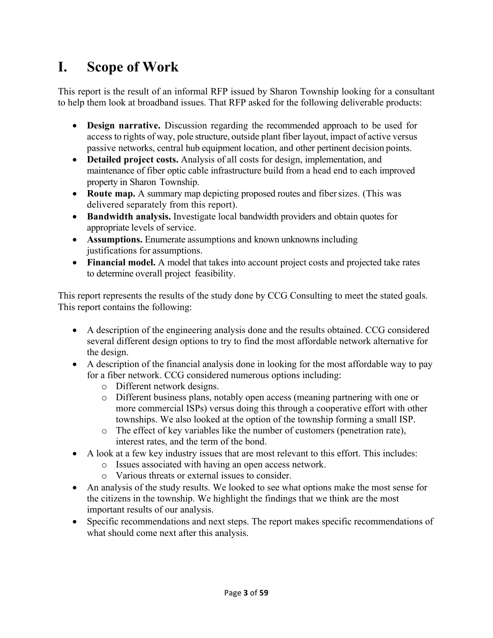# **I. Scope of Work**

This report is the result of an informal RFP issued by Sharon Township looking for a consultant to help them look at broadband issues. That RFP asked for the following deliverable products:

- **Design narrative.** Discussion regarding the recommended approach to be used for access to rights of way, pole structure, outside plant fiber layout, impact of active versus passive networks, central hub equipment location, and other pertinent decision points.
- **Detailed project costs.** Analysis of all costs for design, implementation, and maintenance of fiber optic cable infrastructure build from a head end to each improved property in Sharon Township.
- **Route map.** A summary map depicting proposed routes and fiber sizes. (This was delivered separately from this report).
- **Bandwidth analysis.** Investigate local bandwidth providers and obtain quotes for appropriate levels of service.
- **Assumptions.** Enumerate assumptions and known unknowns including justifications for assumptions.
- **Financial model.** A model that takes into account project costs and projected take rates to determine overall project feasibility.

This report represents the results of the study done by CCG Consulting to meet the stated goals. This report contains the following:

- A description of the engineering analysis done and the results obtained. CCG considered several different design options to try to find the most affordable network alternative for the design.
- A description of the financial analysis done in looking for the most affordable way to pay for a fiber network. CCG considered numerous options including:
	- o Different network designs.
	- o Different business plans, notably open access (meaning partnering with one or more commercial ISPs) versus doing this through a cooperative effort with other townships. We also looked at the option of the township forming a small ISP.
	- o The effect of key variables like the number of customers (penetration rate), interest rates, and the term of the bond.
- A look at a few key industry issues that are most relevant to this effort. This includes:
	- o Issues associated with having an open access network.
	- o Various threats or external issues to consider.
- An analysis of the study results. We looked to see what options make the most sense for the citizens in the township. We highlight the findings that we think are the most important results of our analysis.
- Specific recommendations and next steps. The report makes specific recommendations of what should come next after this analysis.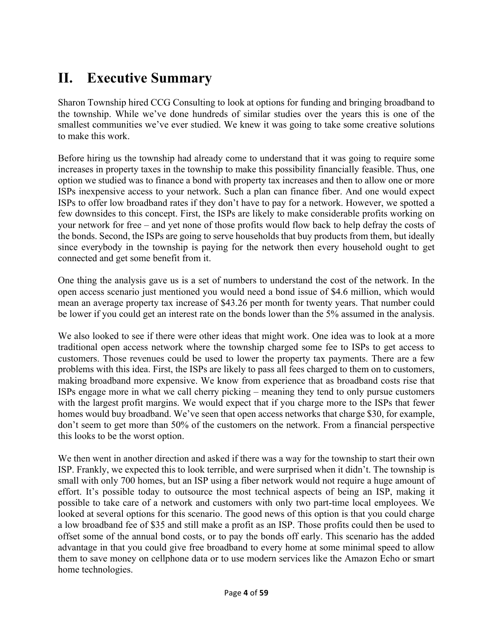# **II. Executive Summary**

Sharon Township hired CCG Consulting to look at options for funding and bringing broadband to the township. While we've done hundreds of similar studies over the years this is one of the smallest communities we've ever studied. We knew it was going to take some creative solutions to make this work.

Before hiring us the township had already come to understand that it was going to require some increases in property taxes in the township to make this possibility financially feasible. Thus, one option we studied was to finance a bond with property tax increases and then to allow one or more ISPs inexpensive access to your network. Such a plan can finance fiber. And one would expect ISPs to offer low broadband rates if they don't have to pay for a network. However, we spotted a few downsides to this concept. First, the ISPs are likely to make considerable profits working on your network for free – and yet none of those profits would flow back to help defray the costs of the bonds. Second, the ISPs are going to serve households that buy products from them, but ideally since everybody in the township is paying for the network then every household ought to get connected and get some benefit from it.

One thing the analysis gave us is a set of numbers to understand the cost of the network. In the open access scenario just mentioned you would need a bond issue of \$4.6 million, which would mean an average property tax increase of \$43.26 per month for twenty years. That number could be lower if you could get an interest rate on the bonds lower than the 5% assumed in the analysis.

We also looked to see if there were other ideas that might work. One idea was to look at a more traditional open access network where the township charged some fee to ISPs to get access to customers. Those revenues could be used to lower the property tax payments. There are a few problems with this idea. First, the ISPs are likely to pass all fees charged to them on to customers, making broadband more expensive. We know from experience that as broadband costs rise that ISPs engage more in what we call cherry picking – meaning they tend to only pursue customers with the largest profit margins. We would expect that if you charge more to the ISPs that fewer homes would buy broadband. We've seen that open access networks that charge \$30, for example, don't seem to get more than 50% of the customers on the network. From a financial perspective this looks to be the worst option.

We then went in another direction and asked if there was a way for the township to start their own ISP. Frankly, we expected this to look terrible, and were surprised when it didn't. The township is small with only 700 homes, but an ISP using a fiber network would not require a huge amount of effort. It's possible today to outsource the most technical aspects of being an ISP, making it possible to take care of a network and customers with only two part-time local employees. We looked at several options for this scenario. The good news of this option is that you could charge a low broadband fee of \$35 and still make a profit as an ISP. Those profits could then be used to offset some of the annual bond costs, or to pay the bonds off early. This scenario has the added advantage in that you could give free broadband to every home at some minimal speed to allow them to save money on cellphone data or to use modern services like the Amazon Echo or smart home technologies.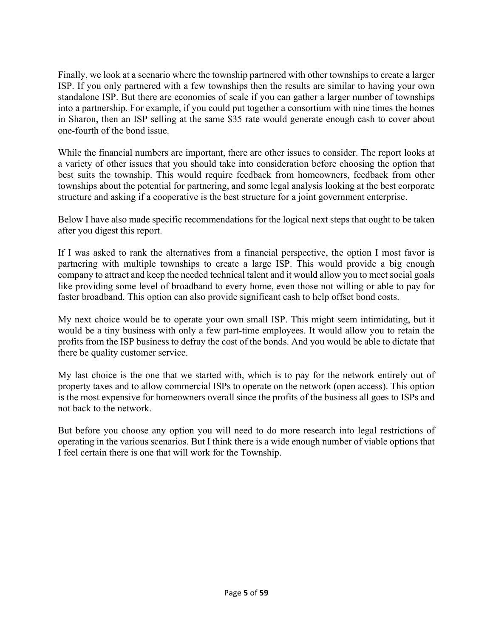Finally, we look at a scenario where the township partnered with other townships to create a larger ISP. If you only partnered with a few townships then the results are similar to having your own standalone ISP. But there are economies of scale if you can gather a larger number of townships into a partnership. For example, if you could put together a consortium with nine times the homes in Sharon, then an ISP selling at the same \$35 rate would generate enough cash to cover about one-fourth of the bond issue.

While the financial numbers are important, there are other issues to consider. The report looks at a variety of other issues that you should take into consideration before choosing the option that best suits the township. This would require feedback from homeowners, feedback from other townships about the potential for partnering, and some legal analysis looking at the best corporate structure and asking if a cooperative is the best structure for a joint government enterprise.

Below I have also made specific recommendations for the logical next steps that ought to be taken after you digest this report.

If I was asked to rank the alternatives from a financial perspective, the option I most favor is partnering with multiple townships to create a large ISP. This would provide a big enough company to attract and keep the needed technical talent and it would allow you to meet social goals like providing some level of broadband to every home, even those not willing or able to pay for faster broadband. This option can also provide significant cash to help offset bond costs.

My next choice would be to operate your own small ISP. This might seem intimidating, but it would be a tiny business with only a few part-time employees. It would allow you to retain the profits from the ISP business to defray the cost of the bonds. And you would be able to dictate that there be quality customer service.

My last choice is the one that we started with, which is to pay for the network entirely out of property taxes and to allow commercial ISPs to operate on the network (open access). This option is the most expensive for homeowners overall since the profits of the business all goes to ISPs and not back to the network.

But before you choose any option you will need to do more research into legal restrictions of operating in the various scenarios. But I think there is a wide enough number of viable options that I feel certain there is one that will work for the Township.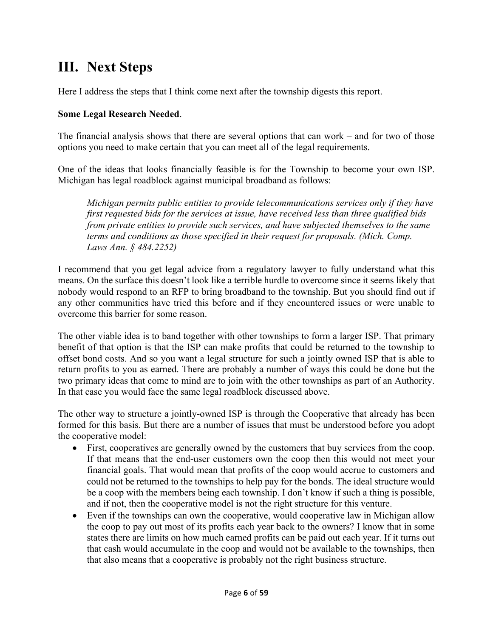# **III. Next Steps**

Here I address the steps that I think come next after the township digests this report.

### **Some Legal Research Needed**.

The financial analysis shows that there are several options that can work – and for two of those options you need to make certain that you can meet all of the legal requirements.

One of the ideas that looks financially feasible is for the Township to become your own ISP. Michigan has legal roadblock against municipal broadband as follows:

*Michigan permits public entities to provide telecommunications services only if they have first requested bids for the services at issue, have received less than three qualified bids from private entities to provide such services, and have subjected themselves to the same terms and conditions as those specified in their request for proposals. (Mich. Comp. Laws Ann. § 484.2252)* 

I recommend that you get legal advice from a regulatory lawyer to fully understand what this means. On the surface this doesn't look like a terrible hurdle to overcome since it seems likely that nobody would respond to an RFP to bring broadband to the township. But you should find out if any other communities have tried this before and if they encountered issues or were unable to overcome this barrier for some reason.

The other viable idea is to band together with other townships to form a larger ISP. That primary benefit of that option is that the ISP can make profits that could be returned to the township to offset bond costs. And so you want a legal structure for such a jointly owned ISP that is able to return profits to you as earned. There are probably a number of ways this could be done but the two primary ideas that come to mind are to join with the other townships as part of an Authority. In that case you would face the same legal roadblock discussed above.

The other way to structure a jointly-owned ISP is through the Cooperative that already has been formed for this basis. But there are a number of issues that must be understood before you adopt the cooperative model:

- First, cooperatives are generally owned by the customers that buy services from the coop. If that means that the end-user customers own the coop then this would not meet your financial goals. That would mean that profits of the coop would accrue to customers and could not be returned to the townships to help pay for the bonds. The ideal structure would be a coop with the members being each township. I don't know if such a thing is possible, and if not, then the cooperative model is not the right structure for this venture.
- Even if the townships can own the cooperative, would cooperative law in Michigan allow the coop to pay out most of its profits each year back to the owners? I know that in some states there are limits on how much earned profits can be paid out each year. If it turns out that cash would accumulate in the coop and would not be available to the townships, then that also means that a cooperative is probably not the right business structure.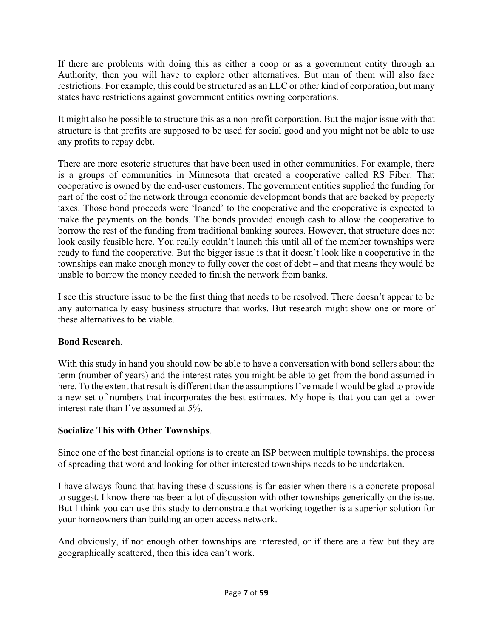If there are problems with doing this as either a coop or as a government entity through an Authority, then you will have to explore other alternatives. But man of them will also face restrictions. For example, this could be structured as an LLC or other kind of corporation, but many states have restrictions against government entities owning corporations.

It might also be possible to structure this as a non-profit corporation. But the major issue with that structure is that profits are supposed to be used for social good and you might not be able to use any profits to repay debt.

There are more esoteric structures that have been used in other communities. For example, there is a groups of communities in Minnesota that created a cooperative called RS Fiber. That cooperative is owned by the end-user customers. The government entities supplied the funding for part of the cost of the network through economic development bonds that are backed by property taxes. Those bond proceeds were 'loaned' to the cooperative and the cooperative is expected to make the payments on the bonds. The bonds provided enough cash to allow the cooperative to borrow the rest of the funding from traditional banking sources. However, that structure does not look easily feasible here. You really couldn't launch this until all of the member townships were ready to fund the cooperative. But the bigger issue is that it doesn't look like a cooperative in the townships can make enough money to fully cover the cost of debt – and that means they would be unable to borrow the money needed to finish the network from banks.

I see this structure issue to be the first thing that needs to be resolved. There doesn't appear to be any automatically easy business structure that works. But research might show one or more of these alternatives to be viable.

# **Bond Research**.

With this study in hand you should now be able to have a conversation with bond sellers about the term (number of years) and the interest rates you might be able to get from the bond assumed in here. To the extent that result is different than the assumptions I've made I would be glad to provide a new set of numbers that incorporates the best estimates. My hope is that you can get a lower interest rate than I've assumed at 5%.

# **Socialize This with Other Townships**.

Since one of the best financial options is to create an ISP between multiple townships, the process of spreading that word and looking for other interested townships needs to be undertaken.

I have always found that having these discussions is far easier when there is a concrete proposal to suggest. I know there has been a lot of discussion with other townships generically on the issue. But I think you can use this study to demonstrate that working together is a superior solution for your homeowners than building an open access network.

And obviously, if not enough other townships are interested, or if there are a few but they are geographically scattered, then this idea can't work.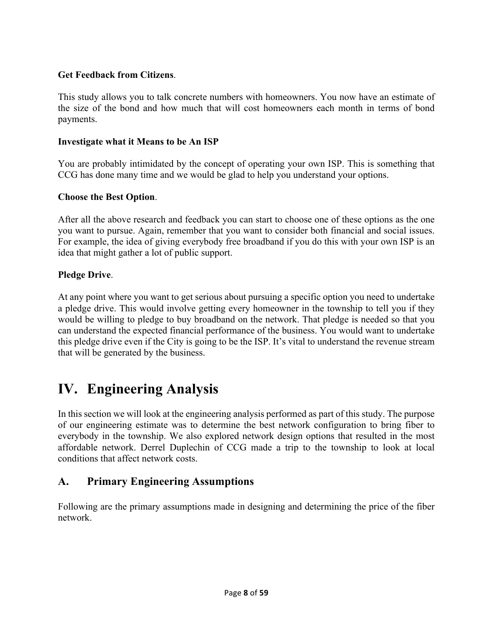#### **Get Feedback from Citizens**.

This study allows you to talk concrete numbers with homeowners. You now have an estimate of the size of the bond and how much that will cost homeowners each month in terms of bond payments.

#### **Investigate what it Means to be An ISP**

You are probably intimidated by the concept of operating your own ISP. This is something that CCG has done many time and we would be glad to help you understand your options.

#### **Choose the Best Option**.

After all the above research and feedback you can start to choose one of these options as the one you want to pursue. Again, remember that you want to consider both financial and social issues. For example, the idea of giving everybody free broadband if you do this with your own ISP is an idea that might gather a lot of public support.

#### **Pledge Drive**.

At any point where you want to get serious about pursuing a specific option you need to undertake a pledge drive. This would involve getting every homeowner in the township to tell you if they would be willing to pledge to buy broadband on the network. That pledge is needed so that you can understand the expected financial performance of the business. You would want to undertake this pledge drive even if the City is going to be the ISP. It's vital to understand the revenue stream that will be generated by the business.

# **IV. Engineering Analysis**

In this section we will look at the engineering analysis performed as part of this study. The purpose of our engineering estimate was to determine the best network configuration to bring fiber to everybody in the township. We also explored network design options that resulted in the most affordable network. Derrel Duplechin of CCG made a trip to the township to look at local conditions that affect network costs.

# **A. Primary Engineering Assumptions**

Following are the primary assumptions made in designing and determining the price of the fiber network.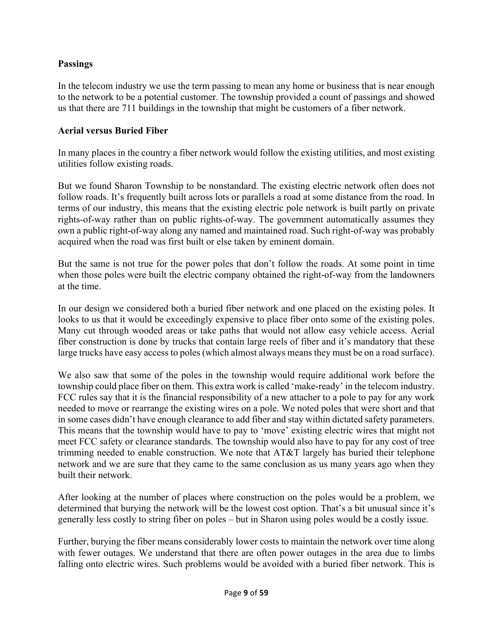### **Passings**

In the telecom industry we use the term passing to mean any home or business that is near enough to the network to be a potential customer. The township provided a count of passings and showed us that there are 711 buildings in the township that might be customers of a fiber network.

#### **Aerial versus Buried Fiber**

In many places in the country a fiber network would follow the existing utilities, and most existing utilities follow existing roads.

But we found Sharon Township to be nonstandard. The existing electric network often does not follow roads. It's frequently built across lots or parallels a road at some distance from the road. In terms of our industry, this means that the existing electric pole network is built partly on private rights-of-way rather than on public rights-of-way. The government automatically assumes they own a public right-of-way along any named and maintained road. Such right-of-way was probably acquired when the road was first built or else taken by eminent domain.

But the same is not true for the power poles that don't follow the roads. At some point in time when those poles were built the electric company obtained the right-of-way from the landowners at the time.

In our design we considered both a buried fiber network and one placed on the existing poles. It looks to us that it would be exceedingly expensive to place fiber onto some of the existing poles. Many cut through wooded areas or take paths that would not allow easy vehicle access. Aerial fiber construction is done by trucks that contain large reels of fiber and it's mandatory that these large trucks have easy access to poles (which almost always means they must be on a road surface).

We also saw that some of the poles in the township would require additional work before the township could place fiber on them. This extra work is called 'make-ready' in the telecom industry. FCC rules say that it is the financial responsibility of a new attacher to a pole to pay for any work needed to move or rearrange the existing wires on a pole. We noted poles that were short and that in some cases didn't have enough clearance to add fiber and stay within dictated safety parameters. This means that the township would have to pay to 'move' existing electric wires that might not meet FCC safety or clearance standards. The township would also have to pay for any cost of tree trimming needed to enable construction. We note that AT&T largely has buried their telephone network and we are sure that they came to the same conclusion as us many years ago when they built their network.

After looking at the number of places where construction on the poles would be a problem, we determined that burying the network will be the lowest cost option. That's a bit unusual since it's generally less costly to string fiber on poles – but in Sharon using poles would be a costly issue.

Further, burying the fiber means considerably lower costs to maintain the network over time along with fewer outages. We understand that there are often power outages in the area due to limbs falling onto electric wires. Such problems would be avoided with a buried fiber network. This is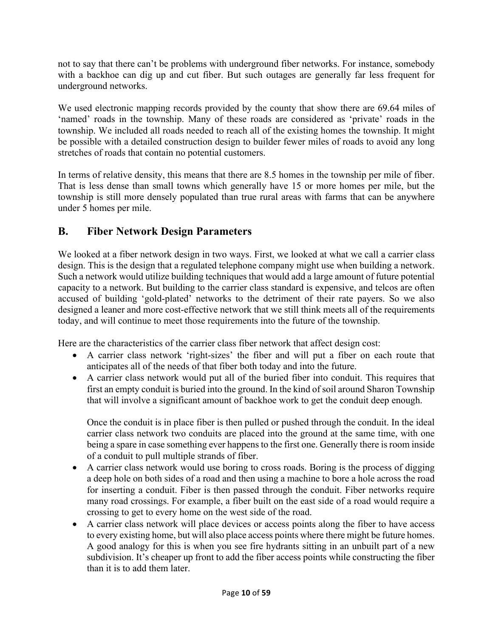not to say that there can't be problems with underground fiber networks. For instance, somebody with a backhoe can dig up and cut fiber. But such outages are generally far less frequent for underground networks.

We used electronic mapping records provided by the county that show there are 69.64 miles of 'named' roads in the township. Many of these roads are considered as 'private' roads in the township. We included all roads needed to reach all of the existing homes the township. It might be possible with a detailed construction design to builder fewer miles of roads to avoid any long stretches of roads that contain no potential customers.

In terms of relative density, this means that there are 8.5 homes in the township per mile of fiber. That is less dense than small towns which generally have 15 or more homes per mile, but the township is still more densely populated than true rural areas with farms that can be anywhere under 5 homes per mile.

# **B. Fiber Network Design Parameters**

We looked at a fiber network design in two ways. First, we looked at what we call a carrier class design. This is the design that a regulated telephone company might use when building a network. Such a network would utilize building techniques that would add a large amount of future potential capacity to a network. But building to the carrier class standard is expensive, and telcos are often accused of building 'gold-plated' networks to the detriment of their rate payers. So we also designed a leaner and more cost-effective network that we still think meets all of the requirements today, and will continue to meet those requirements into the future of the township.

Here are the characteristics of the carrier class fiber network that affect design cost:

- A carrier class network 'right-sizes' the fiber and will put a fiber on each route that anticipates all of the needs of that fiber both today and into the future.
- A carrier class network would put all of the buried fiber into conduit. This requires that first an empty conduit is buried into the ground. In the kind of soil around Sharon Township that will involve a significant amount of backhoe work to get the conduit deep enough.

Once the conduit is in place fiber is then pulled or pushed through the conduit. In the ideal carrier class network two conduits are placed into the ground at the same time, with one being a spare in case something ever happens to the first one. Generally there is room inside of a conduit to pull multiple strands of fiber.

- A carrier class network would use boring to cross roads. Boring is the process of digging a deep hole on both sides of a road and then using a machine to bore a hole across the road for inserting a conduit. Fiber is then passed through the conduit. Fiber networks require many road crossings. For example, a fiber built on the east side of a road would require a crossing to get to every home on the west side of the road.
- A carrier class network will place devices or access points along the fiber to have access to every existing home, but will also place access points where there might be future homes. A good analogy for this is when you see fire hydrants sitting in an unbuilt part of a new subdivision. It's cheaper up front to add the fiber access points while constructing the fiber than it is to add them later.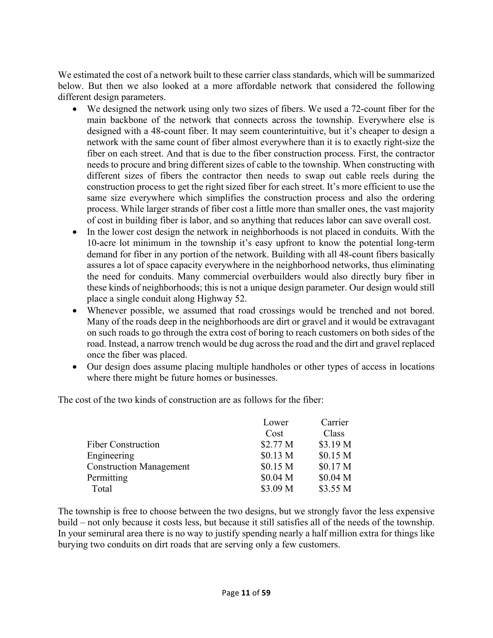We estimated the cost of a network built to these carrier class standards, which will be summarized below. But then we also looked at a more affordable network that considered the following different design parameters.

- We designed the network using only two sizes of fibers. We used a 72-count fiber for the main backbone of the network that connects across the township. Everywhere else is designed with a 48-count fiber. It may seem counterintuitive, but it's cheaper to design a network with the same count of fiber almost everywhere than it is to exactly right-size the fiber on each street. And that is due to the fiber construction process. First, the contractor needs to procure and bring different sizes of cable to the township. When constructing with different sizes of fibers the contractor then needs to swap out cable reels during the construction process to get the right sized fiber for each street. It's more efficient to use the same size everywhere which simplifies the construction process and also the ordering process. While larger strands of fiber cost a little more than smaller ones, the vast majority of cost in building fiber is labor, and so anything that reduces labor can save overall cost.
- In the lower cost design the network in neighborhoods is not placed in conduits. With the 10-acre lot minimum in the township it's easy upfront to know the potential long-term demand for fiber in any portion of the network. Building with all 48-count fibers basically assures a lot of space capacity everywhere in the neighborhood networks, thus eliminating the need for conduits. Many commercial overbuilders would also directly bury fiber in these kinds of neighborhoods; this is not a unique design parameter. Our design would still place a single conduit along Highway 52.
- Whenever possible, we assumed that road crossings would be trenched and not bored. Many of the roads deep in the neighborhoods are dirt or gravel and it would be extravagant on such roads to go through the extra cost of boring to reach customers on both sides of the road. Instead, a narrow trench would be dug across the road and the dirt and gravel replaced once the fiber was placed.
- Our design does assume placing multiple handholes or other types of access in locations where there might be future homes or businesses.

The cost of the two kinds of construction are as follows for the fiber:

|                                | Lower    | Carrier             |
|--------------------------------|----------|---------------------|
|                                | Cost     | Class               |
| <b>Fiber Construction</b>      | \$2.77 M | \$3.19 M            |
| Engineering                    | \$0.13 M | \$0.15 <sub>M</sub> |
| <b>Construction Management</b> | \$0.15 M | \$0.17 M            |
| Permitting                     | \$0.04 M | \$0.04 <sub>M</sub> |
| Total                          | \$3.09 M | \$3.55 M            |

The township is free to choose between the two designs, but we strongly favor the less expensive build – not only because it costs less, but because it still satisfies all of the needs of the township. In your semirural area there is no way to justify spending nearly a half million extra for things like burying two conduits on dirt roads that are serving only a few customers.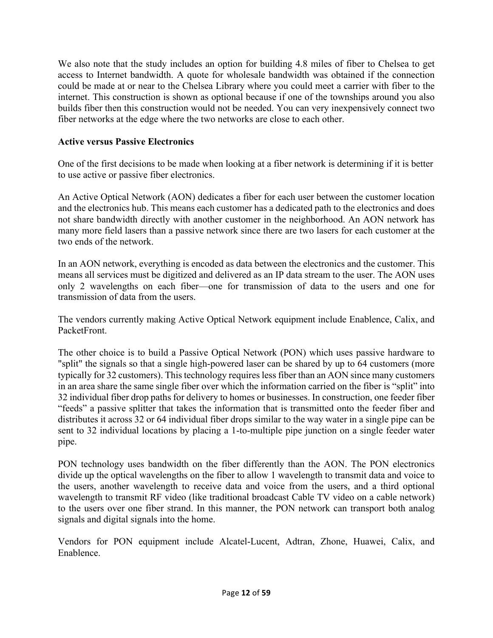We also note that the study includes an option for building 4.8 miles of fiber to Chelsea to get access to Internet bandwidth. A quote for wholesale bandwidth was obtained if the connection could be made at or near to the Chelsea Library where you could meet a carrier with fiber to the internet. This construction is shown as optional because if one of the townships around you also builds fiber then this construction would not be needed. You can very inexpensively connect two fiber networks at the edge where the two networks are close to each other.

# **Active versus Passive Electronics**

One of the first decisions to be made when looking at a fiber network is determining if it is better to use active or passive fiber electronics.

An Active Optical Network (AON) dedicates a fiber for each user between the customer location and the electronics hub. This means each customer has a dedicated path to the electronics and does not share bandwidth directly with another customer in the neighborhood. An AON network has many more field lasers than a passive network since there are two lasers for each customer at the two ends of the network.

In an AON network, everything is encoded as data between the electronics and the customer. This means all services must be digitized and delivered as an IP data stream to the user. The AON uses only 2 wavelengths on each fiber—one for transmission of data to the users and one for transmission of data from the users.

The vendors currently making Active Optical Network equipment include Enablence, Calix, and PacketFront.

The other choice is to build a Passive Optical Network (PON) which uses passive hardware to "split" the signals so that a single high-powered laser can be shared by up to 64 customers (more typically for 32 customers). This technology requires less fiber than an AON since many customers in an area share the same single fiber over which the information carried on the fiber is "split" into 32 individual fiber drop paths for delivery to homes or businesses. In construction, one feeder fiber "feeds" a passive splitter that takes the information that is transmitted onto the feeder fiber and distributes it across 32 or 64 individual fiber drops similar to the way water in a single pipe can be sent to 32 individual locations by placing a 1-to-multiple pipe junction on a single feeder water pipe.

PON technology uses bandwidth on the fiber differently than the AON. The PON electronics divide up the optical wavelengths on the fiber to allow 1 wavelength to transmit data and voice to the users, another wavelength to receive data and voice from the users, and a third optional wavelength to transmit RF video (like traditional broadcast Cable TV video on a cable network) to the users over one fiber strand. In this manner, the PON network can transport both analog signals and digital signals into the home.

Vendors for PON equipment include Alcatel-Lucent, Adtran, Zhone, Huawei, Calix, and Enablence.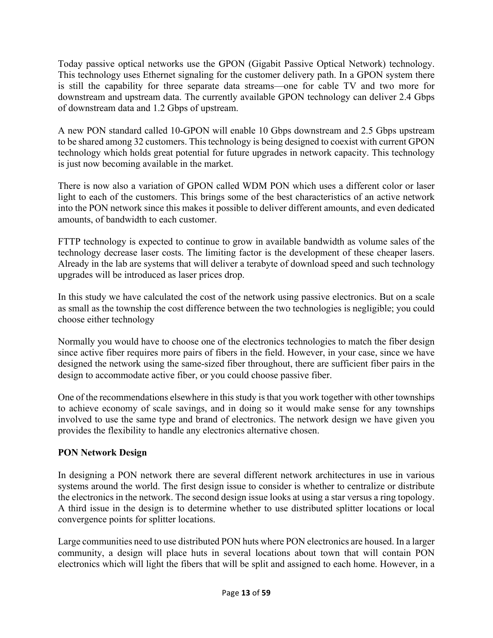Today passive optical networks use the GPON (Gigabit Passive Optical Network) technology. This technology uses Ethernet signaling for the customer delivery path. In a GPON system there is still the capability for three separate data streams—one for cable TV and two more for downstream and upstream data. The currently available GPON technology can deliver 2.4 Gbps of downstream data and 1.2 Gbps of upstream.

A new PON standard called 10-GPON will enable 10 Gbps downstream and 2.5 Gbps upstream to be shared among 32 customers. This technology is being designed to coexist with current GPON technology which holds great potential for future upgrades in network capacity. This technology is just now becoming available in the market.

There is now also a variation of GPON called WDM PON which uses a different color or laser light to each of the customers. This brings some of the best characteristics of an active network into the PON network since this makes it possible to deliver different amounts, and even dedicated amounts, of bandwidth to each customer.

FTTP technology is expected to continue to grow in available bandwidth as volume sales of the technology decrease laser costs. The limiting factor is the development of these cheaper lasers. Already in the lab are systems that will deliver a terabyte of download speed and such technology upgrades will be introduced as laser prices drop.

In this study we have calculated the cost of the network using passive electronics. But on a scale as small as the township the cost difference between the two technologies is negligible; you could choose either technology

Normally you would have to choose one of the electronics technologies to match the fiber design since active fiber requires more pairs of fibers in the field. However, in your case, since we have designed the network using the same-sized fiber throughout, there are sufficient fiber pairs in the design to accommodate active fiber, or you could choose passive fiber.

One of the recommendations elsewhere in this study is that you work together with other townships to achieve economy of scale savings, and in doing so it would make sense for any townships involved to use the same type and brand of electronics. The network design we have given you provides the flexibility to handle any electronics alternative chosen.

# **PON Network Design**

In designing a PON network there are several different network architectures in use in various systems around the world. The first design issue to consider is whether to centralize or distribute the electronics in the network. The second design issue looks at using a star versus a ring topology. A third issue in the design is to determine whether to use distributed splitter locations or local convergence points for splitter locations.

Large communities need to use distributed PON huts where PON electronics are housed. In a larger community, a design will place huts in several locations about town that will contain PON electronics which will light the fibers that will be split and assigned to each home. However, in a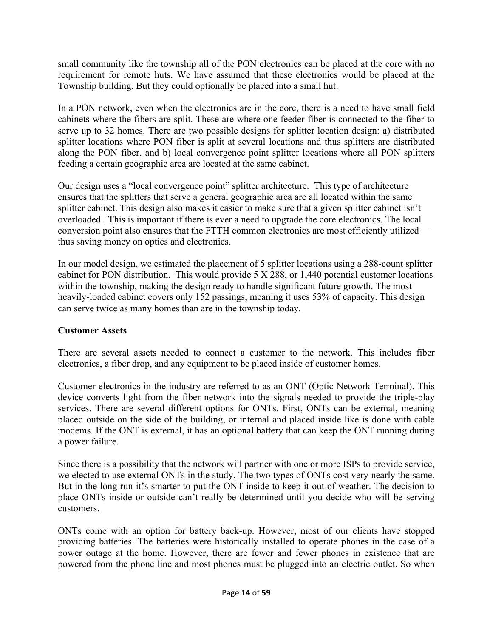small community like the township all of the PON electronics can be placed at the core with no requirement for remote huts. We have assumed that these electronics would be placed at the Township building. But they could optionally be placed into a small hut.

In a PON network, even when the electronics are in the core, there is a need to have small field cabinets where the fibers are split. These are where one feeder fiber is connected to the fiber to serve up to 32 homes. There are two possible designs for splitter location design: a) distributed splitter locations where PON fiber is split at several locations and thus splitters are distributed along the PON fiber, and b) local convergence point splitter locations where all PON splitters feeding a certain geographic area are located at the same cabinet.

Our design uses a "local convergence point" splitter architecture. This type of architecture ensures that the splitters that serve a general geographic area are all located within the same splitter cabinet. This design also makes it easier to make sure that a given splitter cabinet isn't overloaded. This is important if there is ever a need to upgrade the core electronics. The local conversion point also ensures that the FTTH common electronics are most efficiently utilized thus saving money on optics and electronics.

In our model design, we estimated the placement of 5 splitter locations using a 288-count splitter cabinet for PON distribution. This would provide 5 X 288, or 1,440 potential customer locations within the township, making the design ready to handle significant future growth. The most heavily-loaded cabinet covers only 152 passings, meaning it uses 53% of capacity. This design can serve twice as many homes than are in the township today.

# **Customer Assets**

There are several assets needed to connect a customer to the network. This includes fiber electronics, a fiber drop, and any equipment to be placed inside of customer homes.

Customer electronics in the industry are referred to as an ONT (Optic Network Terminal). This device converts light from the fiber network into the signals needed to provide the triple-play services. There are several different options for ONTs. First, ONTs can be external, meaning placed outside on the side of the building, or internal and placed inside like is done with cable modems. If the ONT is external, it has an optional battery that can keep the ONT running during a power failure.

Since there is a possibility that the network will partner with one or more ISPs to provide service, we elected to use external ONTs in the study. The two types of ONTs cost very nearly the same. But in the long run it's smarter to put the ONT inside to keep it out of weather. The decision to place ONTs inside or outside can't really be determined until you decide who will be serving customers.

ONTs come with an option for battery back-up. However, most of our clients have stopped providing batteries. The batteries were historically installed to operate phones in the case of a power outage at the home. However, there are fewer and fewer phones in existence that are powered from the phone line and most phones must be plugged into an electric outlet. So when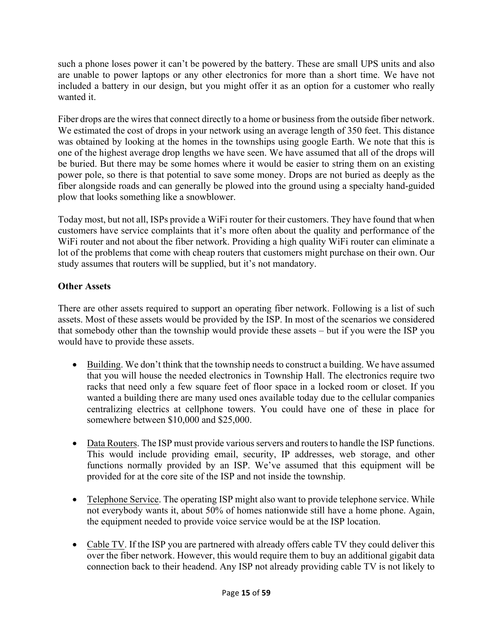such a phone loses power it can't be powered by the battery. These are small UPS units and also are unable to power laptops or any other electronics for more than a short time. We have not included a battery in our design, but you might offer it as an option for a customer who really wanted it.

Fiber drops are the wires that connect directly to a home or business from the outside fiber network. We estimated the cost of drops in your network using an average length of 350 feet. This distance was obtained by looking at the homes in the townships using google Earth. We note that this is one of the highest average drop lengths we have seen. We have assumed that all of the drops will be buried. But there may be some homes where it would be easier to string them on an existing power pole, so there is that potential to save some money. Drops are not buried as deeply as the fiber alongside roads and can generally be plowed into the ground using a specialty hand-guided plow that looks something like a snowblower.

Today most, but not all, ISPs provide a WiFi router for their customers. They have found that when customers have service complaints that it's more often about the quality and performance of the WiFi router and not about the fiber network. Providing a high quality WiFi router can eliminate a lot of the problems that come with cheap routers that customers might purchase on their own. Our study assumes that routers will be supplied, but it's not mandatory.

# **Other Assets**

There are other assets required to support an operating fiber network. Following is a list of such assets. Most of these assets would be provided by the ISP. In most of the scenarios we considered that somebody other than the township would provide these assets – but if you were the ISP you would have to provide these assets.

- Building. We don't think that the township needs to construct a building. We have assumed that you will house the needed electronics in Township Hall. The electronics require two racks that need only a few square feet of floor space in a locked room or closet. If you wanted a building there are many used ones available today due to the cellular companies centralizing electrics at cellphone towers. You could have one of these in place for somewhere between \$10,000 and \$25,000.
- Data Routers. The ISP must provide various servers and routers to handle the ISP functions. This would include providing email, security, IP addresses, web storage, and other functions normally provided by an ISP. We've assumed that this equipment will be provided for at the core site of the ISP and not inside the township.
- Telephone Service. The operating ISP might also want to provide telephone service. While not everybody wants it, about 50% of homes nationwide still have a home phone. Again, the equipment needed to provide voice service would be at the ISP location.
- Cable TV. If the ISP you are partnered with already offers cable TV they could deliver this over the fiber network. However, this would require them to buy an additional gigabit data connection back to their headend. Any ISP not already providing cable TV is not likely to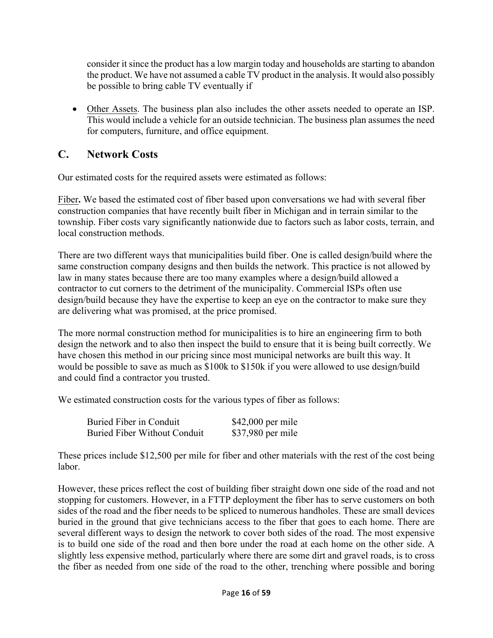consider it since the product has a low margin today and households are starting to abandon the product. We have not assumed a cable TV product in the analysis. It would also possibly be possible to bring cable TV eventually if

• Other Assets. The business plan also includes the other assets needed to operate an ISP. This would include a vehicle for an outside technician. The business plan assumes the need for computers, furniture, and office equipment.

# **C. Network Costs**

Our estimated costs for the required assets were estimated as follows:

Fiber**.** We based the estimated cost of fiber based upon conversations we had with several fiber construction companies that have recently built fiber in Michigan and in terrain similar to the township. Fiber costs vary significantly nationwide due to factors such as labor costs, terrain, and local construction methods.

There are two different ways that municipalities build fiber. One is called design/build where the same construction company designs and then builds the network. This practice is not allowed by law in many states because there are too many examples where a design/build allowed a contractor to cut corners to the detriment of the municipality. Commercial ISPs often use design/build because they have the expertise to keep an eye on the contractor to make sure they are delivering what was promised, at the price promised.

The more normal construction method for municipalities is to hire an engineering firm to both design the network and to also then inspect the build to ensure that it is being built correctly. We have chosen this method in our pricing since most municipal networks are built this way. It would be possible to save as much as \$100k to \$150k if you were allowed to use design/build and could find a contractor you trusted.

We estimated construction costs for the various types of fiber as follows:

| Buried Fiber in Conduit             | $$42,000$ per mile |
|-------------------------------------|--------------------|
| <b>Buried Fiber Without Conduit</b> | \$37,980 per mile  |

These prices include \$12,500 per mile for fiber and other materials with the rest of the cost being labor.

However, these prices reflect the cost of building fiber straight down one side of the road and not stopping for customers. However, in a FTTP deployment the fiber has to serve customers on both sides of the road and the fiber needs to be spliced to numerous handholes. These are small devices buried in the ground that give technicians access to the fiber that goes to each home. There are several different ways to design the network to cover both sides of the road. The most expensive is to build one side of the road and then bore under the road at each home on the other side. A slightly less expensive method, particularly where there are some dirt and gravel roads, is to cross the fiber as needed from one side of the road to the other, trenching where possible and boring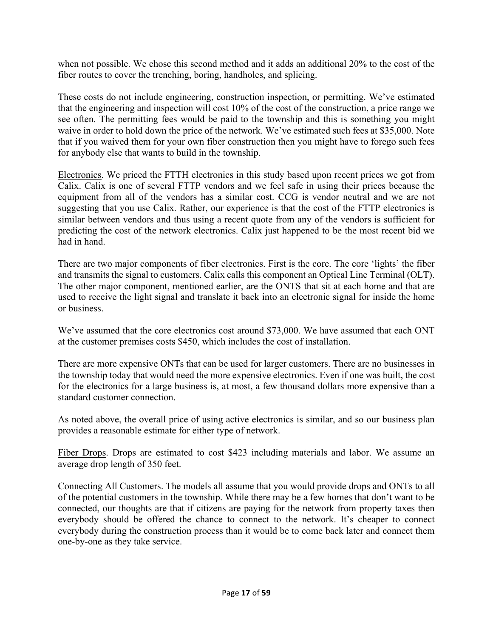when not possible. We chose this second method and it adds an additional 20% to the cost of the fiber routes to cover the trenching, boring, handholes, and splicing.

These costs do not include engineering, construction inspection, or permitting. We've estimated that the engineering and inspection will cost 10% of the cost of the construction, a price range we see often. The permitting fees would be paid to the township and this is something you might waive in order to hold down the price of the network. We've estimated such fees at \$35,000. Note that if you waived them for your own fiber construction then you might have to forego such fees for anybody else that wants to build in the township.

Electronics. We priced the FTTH electronics in this study based upon recent prices we got from Calix. Calix is one of several FTTP vendors and we feel safe in using their prices because the equipment from all of the vendors has a similar cost. CCG is vendor neutral and we are not suggesting that you use Calix. Rather, our experience is that the cost of the FTTP electronics is similar between vendors and thus using a recent quote from any of the vendors is sufficient for predicting the cost of the network electronics. Calix just happened to be the most recent bid we had in hand.

There are two major components of fiber electronics. First is the core. The core 'lights' the fiber and transmits the signal to customers. Calix calls this component an Optical Line Terminal (OLT). The other major component, mentioned earlier, are the ONTS that sit at each home and that are used to receive the light signal and translate it back into an electronic signal for inside the home or business.

We've assumed that the core electronics cost around \$73,000. We have assumed that each ONT at the customer premises costs \$450, which includes the cost of installation.

There are more expensive ONTs that can be used for larger customers. There are no businesses in the township today that would need the more expensive electronics. Even if one was built, the cost for the electronics for a large business is, at most, a few thousand dollars more expensive than a standard customer connection.

As noted above, the overall price of using active electronics is similar, and so our business plan provides a reasonable estimate for either type of network.

Fiber Drops. Drops are estimated to cost \$423 including materials and labor. We assume an average drop length of 350 feet.

Connecting All Customers. The models all assume that you would provide drops and ONTs to all of the potential customers in the township. While there may be a few homes that don't want to be connected, our thoughts are that if citizens are paying for the network from property taxes then everybody should be offered the chance to connect to the network. It's cheaper to connect everybody during the construction process than it would be to come back later and connect them one-by-one as they take service.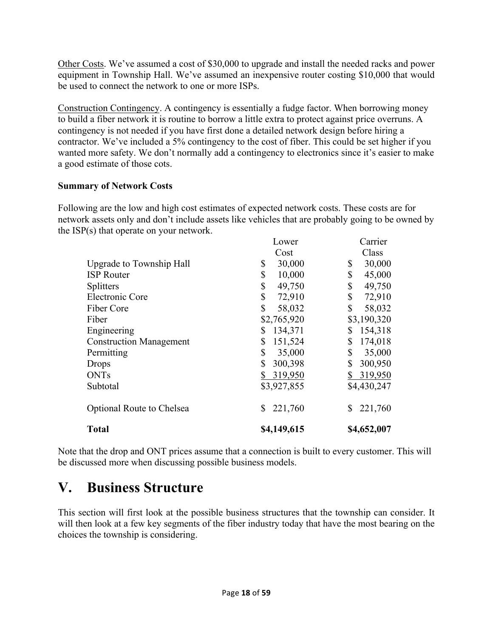Other Costs. We've assumed a cost of \$30,000 to upgrade and install the needed racks and power equipment in Township Hall. We've assumed an inexpensive router costing \$10,000 that would be used to connect the network to one or more ISPs.

Construction Contingency. A contingency is essentially a fudge factor. When borrowing money to build a fiber network it is routine to borrow a little extra to protect against price overruns. A contingency is not needed if you have first done a detailed network design before hiring a contractor. We've included a 5% contingency to the cost of fiber. This could be set higher if you wanted more safety. We don't normally add a contingency to electronics since it's easier to make a good estimate of those cots.

#### **Summary of Network Costs**

Following are the low and high cost estimates of expected network costs. These costs are for network assets only and don't include assets like vehicles that are probably going to be owned by the ISP(s) that operate on your network.

|                                  | Lower         | Carrier       |
|----------------------------------|---------------|---------------|
|                                  | Cost          | Class         |
| Upgrade to Township Hall         | \$<br>30,000  | 30,000<br>\$  |
| <b>ISP</b> Router                | \$<br>10,000  | \$<br>45,000  |
| <b>Splitters</b>                 | \$<br>49,750  | \$<br>49,750  |
| Electronic Core                  | \$<br>72,910  | \$<br>72,910  |
| Fiber Core                       | \$<br>58,032  | \$<br>58,032  |
| Fiber                            | \$2,765,920   | \$3,190,320   |
| Engineering                      | \$<br>134,371 | 154,318<br>S  |
| <b>Construction Management</b>   | \$<br>151,524 | \$<br>174,018 |
| Permitting                       | \$<br>35,000  | \$<br>35,000  |
| <b>Drops</b>                     | \$<br>300,398 | 300,950       |
| <b>ONTs</b>                      | 319,950<br>\$ | 319,950       |
| Subtotal                         | \$3,927,855   | \$4,430,247   |
| <b>Optional Route to Chelsea</b> | 221,760<br>\$ | 221,760<br>S  |
| <b>Total</b>                     | \$4,149,615   | \$4,652,007   |

Note that the drop and ONT prices assume that a connection is built to every customer. This will be discussed more when discussing possible business models.

# **V. Business Structure**

This section will first look at the possible business structures that the township can consider. It will then look at a few key segments of the fiber industry today that have the most bearing on the choices the township is considering.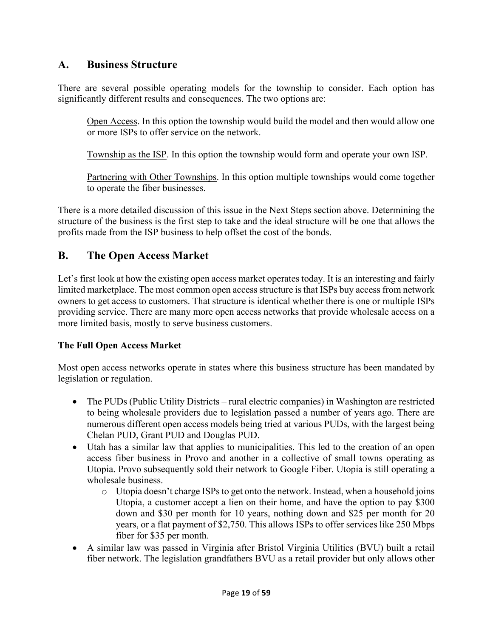# **A. Business Structure**

There are several possible operating models for the township to consider. Each option has significantly different results and consequences. The two options are:

Open Access. In this option the township would build the model and then would allow one or more ISPs to offer service on the network.

Township as the ISP. In this option the township would form and operate your own ISP.

Partnering with Other Townships. In this option multiple townships would come together to operate the fiber businesses.

There is a more detailed discussion of this issue in the Next Steps section above. Determining the structure of the business is the first step to take and the ideal structure will be one that allows the profits made from the ISP business to help offset the cost of the bonds.

# **B. The Open Access Market**

Let's first look at how the existing open access market operates today. It is an interesting and fairly limited marketplace. The most common open access structure is that ISPs buy access from network owners to get access to customers. That structure is identical whether there is one or multiple ISPs providing service. There are many more open access networks that provide wholesale access on a more limited basis, mostly to serve business customers.

# **The Full Open Access Market**

Most open access networks operate in states where this business structure has been mandated by legislation or regulation.

- The PUDs (Public Utility Districts rural electric companies) in Washington are restricted to being wholesale providers due to legislation passed a number of years ago. There are numerous different open access models being tried at various PUDs, with the largest being Chelan PUD, Grant PUD and Douglas PUD.
- Utah has a similar law that applies to municipalities. This led to the creation of an open access fiber business in Provo and another in a collective of small towns operating as Utopia. Provo subsequently sold their network to Google Fiber. Utopia is still operating a wholesale business.
	- o Utopia doesn't charge ISPs to get onto the network. Instead, when a household joins Utopia, a customer accept a lien on their home, and have the option to pay \$300 down and \$30 per month for 10 years, nothing down and \$25 per month for 20 years, or a flat payment of \$2,750. This allows ISPs to offer services like 250 Mbps fiber for \$35 per month.
- A similar law was passed in Virginia after Bristol Virginia Utilities (BVU) built a retail fiber network. The legislation grandfathers BVU as a retail provider but only allows other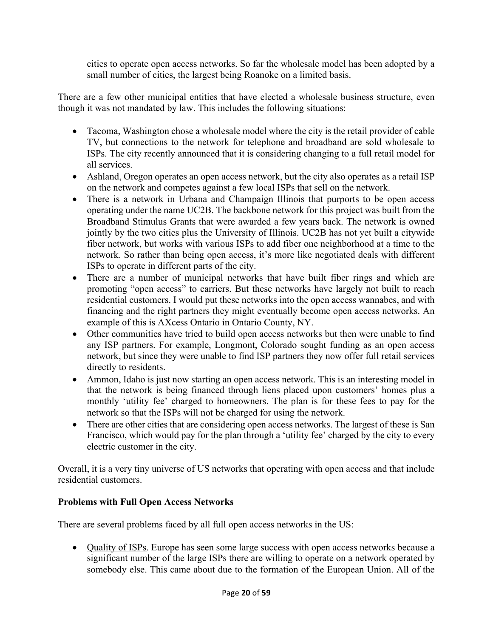cities to operate open access networks. So far the wholesale model has been adopted by a small number of cities, the largest being Roanoke on a limited basis.

There are a few other municipal entities that have elected a wholesale business structure, even though it was not mandated by law. This includes the following situations:

- Tacoma, Washington chose a wholesale model where the city is the retail provider of cable TV, but connections to the network for telephone and broadband are sold wholesale to ISPs. The city recently announced that it is considering changing to a full retail model for all services.
- Ashland, Oregon operates an open access network, but the city also operates as a retail ISP on the network and competes against a few local ISPs that sell on the network.
- There is a network in Urbana and Champaign Illinois that purports to be open access operating under the name UC2B. The backbone network for this project was built from the Broadband Stimulus Grants that were awarded a few years back. The network is owned jointly by the two cities plus the University of Illinois. UC2B has not yet built a citywide fiber network, but works with various ISPs to add fiber one neighborhood at a time to the network. So rather than being open access, it's more like negotiated deals with different ISPs to operate in different parts of the city.
- There are a number of municipal networks that have built fiber rings and which are promoting "open access" to carriers. But these networks have largely not built to reach residential customers. I would put these networks into the open access wannabes, and with financing and the right partners they might eventually become open access networks. An example of this is AXcess Ontario in Ontario County, NY.
- Other communities have tried to build open access networks but then were unable to find any ISP partners. For example, Longmont, Colorado sought funding as an open access network, but since they were unable to find ISP partners they now offer full retail services directly to residents.
- Ammon, Idaho is just now starting an open access network. This is an interesting model in that the network is being financed through liens placed upon customers' homes plus a monthly 'utility fee' charged to homeowners. The plan is for these fees to pay for the network so that the ISPs will not be charged for using the network.
- There are other cities that are considering open access networks. The largest of these is San Francisco, which would pay for the plan through a 'utility fee' charged by the city to every electric customer in the city.

Overall, it is a very tiny universe of US networks that operating with open access and that include residential customers.

# **Problems with Full Open Access Networks**

There are several problems faced by all full open access networks in the US:

• Quality of ISPs. Europe has seen some large success with open access networks because a significant number of the large ISPs there are willing to operate on a network operated by somebody else. This came about due to the formation of the European Union. All of the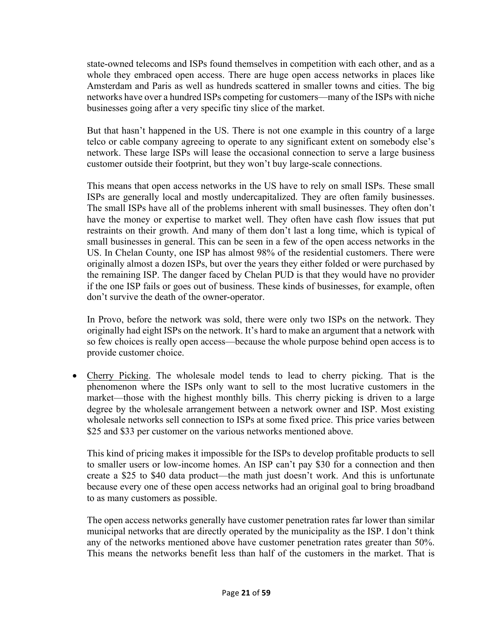state-owned telecoms and ISPs found themselves in competition with each other, and as a whole they embraced open access. There are huge open access networks in places like Amsterdam and Paris as well as hundreds scattered in smaller towns and cities. The big networks have over a hundred ISPs competing for customers—many of the ISPs with niche businesses going after a very specific tiny slice of the market.

But that hasn't happened in the US. There is not one example in this country of a large telco or cable company agreeing to operate to any significant extent on somebody else's network. These large ISPs will lease the occasional connection to serve a large business customer outside their footprint, but they won't buy large-scale connections.

This means that open access networks in the US have to rely on small ISPs. These small ISPs are generally local and mostly undercapitalized. They are often family businesses. The small ISPs have all of the problems inherent with small businesses. They often don't have the money or expertise to market well. They often have cash flow issues that put restraints on their growth. And many of them don't last a long time, which is typical of small businesses in general. This can be seen in a few of the open access networks in the US. In Chelan County, one ISP has almost 98% of the residential customers. There were originally almost a dozen ISPs, but over the years they either folded or were purchased by the remaining ISP. The danger faced by Chelan PUD is that they would have no provider if the one ISP fails or goes out of business. These kinds of businesses, for example, often don't survive the death of the owner-operator.

In Provo, before the network was sold, there were only two ISPs on the network. They originally had eight ISPs on the network. It's hard to make an argument that a network with so few choices is really open access—because the whole purpose behind open access is to provide customer choice.

• Cherry Picking. The wholesale model tends to lead to cherry picking. That is the phenomenon where the ISPs only want to sell to the most lucrative customers in the market—those with the highest monthly bills. This cherry picking is driven to a large degree by the wholesale arrangement between a network owner and ISP. Most existing wholesale networks sell connection to ISPs at some fixed price. This price varies between \$25 and \$33 per customer on the various networks mentioned above.

This kind of pricing makes it impossible for the ISPs to develop profitable products to sell to smaller users or low-income homes. An ISP can't pay \$30 for a connection and then create a \$25 to \$40 data product—the math just doesn't work. And this is unfortunate because every one of these open access networks had an original goal to bring broadband to as many customers as possible.

The open access networks generally have customer penetration rates far lower than similar municipal networks that are directly operated by the municipality as the ISP. I don't think any of the networks mentioned above have customer penetration rates greater than 50%. This means the networks benefit less than half of the customers in the market. That is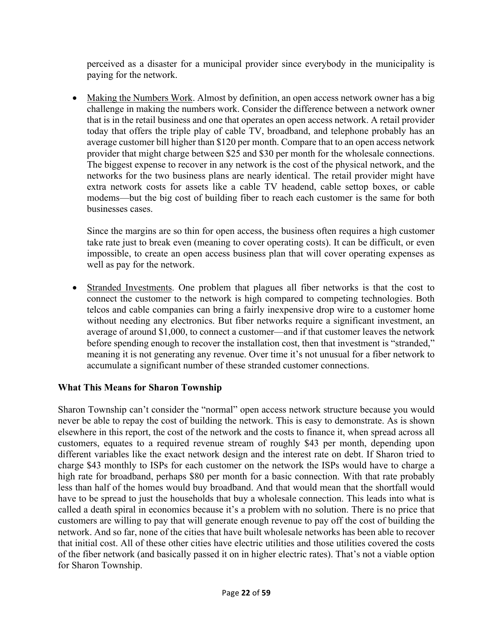perceived as a disaster for a municipal provider since everybody in the municipality is paying for the network.

• Making the Numbers Work. Almost by definition, an open access network owner has a big challenge in making the numbers work. Consider the difference between a network owner that is in the retail business and one that operates an open access network. A retail provider today that offers the triple play of cable TV, broadband, and telephone probably has an average customer bill higher than \$120 per month. Compare that to an open access network provider that might charge between \$25 and \$30 per month for the wholesale connections. The biggest expense to recover in any network is the cost of the physical network, and the networks for the two business plans are nearly identical. The retail provider might have extra network costs for assets like a cable TV headend, cable settop boxes, or cable modems—but the big cost of building fiber to reach each customer is the same for both businesses cases.

Since the margins are so thin for open access, the business often requires a high customer take rate just to break even (meaning to cover operating costs). It can be difficult, or even impossible, to create an open access business plan that will cover operating expenses as well as pay for the network.

• Stranded Investments. One problem that plagues all fiber networks is that the cost to connect the customer to the network is high compared to competing technologies. Both telcos and cable companies can bring a fairly inexpensive drop wire to a customer home without needing any electronics. But fiber networks require a significant investment, an average of around \$1,000, to connect a customer—and if that customer leaves the network before spending enough to recover the installation cost, then that investment is "stranded," meaning it is not generating any revenue. Over time it's not unusual for a fiber network to accumulate a significant number of these stranded customer connections.

# **What This Means for Sharon Township**

Sharon Township can't consider the "normal" open access network structure because you would never be able to repay the cost of building the network. This is easy to demonstrate. As is shown elsewhere in this report, the cost of the network and the costs to finance it, when spread across all customers, equates to a required revenue stream of roughly \$43 per month, depending upon different variables like the exact network design and the interest rate on debt. If Sharon tried to charge \$43 monthly to ISPs for each customer on the network the ISPs would have to charge a high rate for broadband, perhaps \$80 per month for a basic connection. With that rate probably less than half of the homes would buy broadband. And that would mean that the shortfall would have to be spread to just the households that buy a wholesale connection. This leads into what is called a death spiral in economics because it's a problem with no solution. There is no price that customers are willing to pay that will generate enough revenue to pay off the cost of building the network. And so far, none of the cities that have built wholesale networks has been able to recover that initial cost. All of these other cities have electric utilities and those utilities covered the costs of the fiber network (and basically passed it on in higher electric rates). That's not a viable option for Sharon Township.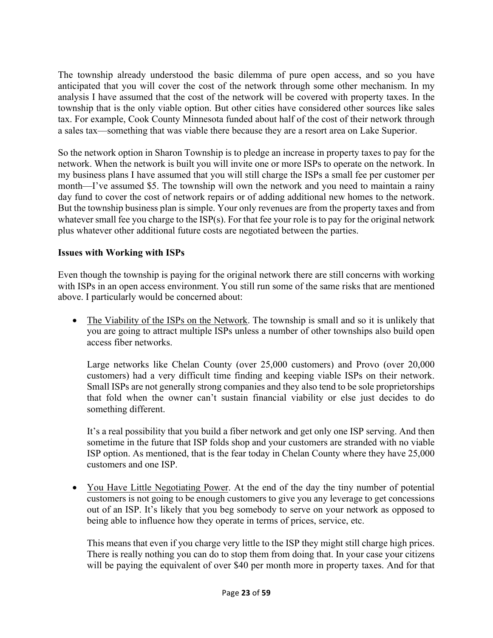The township already understood the basic dilemma of pure open access, and so you have anticipated that you will cover the cost of the network through some other mechanism. In my analysis I have assumed that the cost of the network will be covered with property taxes. In the township that is the only viable option. But other cities have considered other sources like sales tax. For example, Cook County Minnesota funded about half of the cost of their network through a sales tax—something that was viable there because they are a resort area on Lake Superior.

So the network option in Sharon Township is to pledge an increase in property taxes to pay for the network. When the network is built you will invite one or more ISPs to operate on the network. In my business plans I have assumed that you will still charge the ISPs a small fee per customer per month—I've assumed \$5. The township will own the network and you need to maintain a rainy day fund to cover the cost of network repairs or of adding additional new homes to the network. But the township business plan is simple. Your only revenues are from the property taxes and from whatever small fee you charge to the ISP(s). For that fee your role is to pay for the original network plus whatever other additional future costs are negotiated between the parties.

#### **Issues with Working with ISPs**

Even though the township is paying for the original network there are still concerns with working with ISPs in an open access environment. You still run some of the same risks that are mentioned above. I particularly would be concerned about:

• The Viability of the ISPs on the Network. The township is small and so it is unlikely that you are going to attract multiple ISPs unless a number of other townships also build open access fiber networks.

Large networks like Chelan County (over 25,000 customers) and Provo (over 20,000 customers) had a very difficult time finding and keeping viable ISPs on their network. Small ISPs are not generally strong companies and they also tend to be sole proprietorships that fold when the owner can't sustain financial viability or else just decides to do something different.

It's a real possibility that you build a fiber network and get only one ISP serving. And then sometime in the future that ISP folds shop and your customers are stranded with no viable ISP option. As mentioned, that is the fear today in Chelan County where they have 25,000 customers and one ISP.

• You Have Little Negotiating Power. At the end of the day the tiny number of potential customers is not going to be enough customers to give you any leverage to get concessions out of an ISP. It's likely that you beg somebody to serve on your network as opposed to being able to influence how they operate in terms of prices, service, etc.

This means that even if you charge very little to the ISP they might still charge high prices. There is really nothing you can do to stop them from doing that. In your case your citizens will be paying the equivalent of over \$40 per month more in property taxes. And for that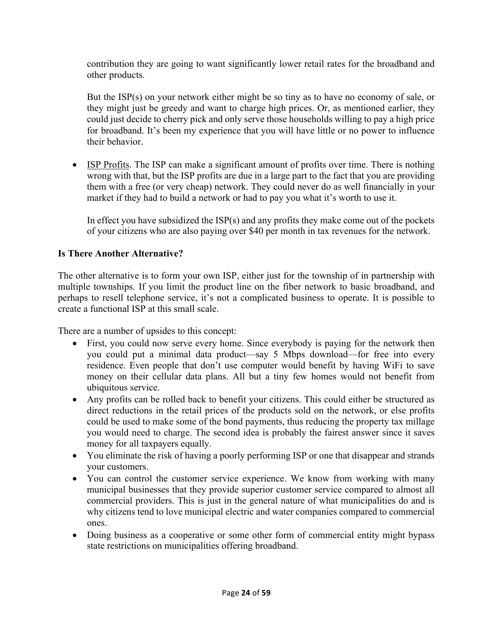contribution they are going to want significantly lower retail rates for the broadband and other products.

But the ISP(s) on your network either might be so tiny as to have no economy of sale, or they might just be greedy and want to charge high prices. Or, as mentioned earlier, they could just decide to cherry pick and only serve those households willing to pay a high price for broadband. It's been my experience that you will have little or no power to influence their behavior.

• ISP Profits. The ISP can make a significant amount of profits over time. There is nothing wrong with that, but the ISP profits are due in a large part to the fact that you are providing them with a free (or very cheap) network. They could never do as well financially in your market if they had to build a network or had to pay you what it's worth to use it.

In effect you have subsidized the ISP(s) and any profits they make come out of the pockets of your citizens who are also paying over \$40 per month in tax revenues for the network.

# **Is There Another Alternative?**

The other alternative is to form your own ISP, either just for the township of in partnership with multiple townships. If you limit the product line on the fiber network to basic broadband, and perhaps to resell telephone service, it's not a complicated business to operate. It is possible to create a functional ISP at this small scale.

There are a number of upsides to this concept:

- First, you could now serve every home. Since everybody is paying for the network then you could put a minimal data product—say 5 Mbps download—for free into every residence. Even people that don't use computer would benefit by having WiFi to save money on their cellular data plans. All but a tiny few homes would not benefit from ubiquitous service.
- Any profits can be rolled back to benefit your citizens. This could either be structured as direct reductions in the retail prices of the products sold on the network, or else profits could be used to make some of the bond payments, thus reducing the property tax millage you would need to charge. The second idea is probably the fairest answer since it saves money for all taxpayers equally.
- You eliminate the risk of having a poorly performing ISP or one that disappear and strands your customers.
- You can control the customer service experience. We know from working with many municipal businesses that they provide superior customer service compared to almost all commercial providers. This is just in the general nature of what municipalities do and is why citizens tend to love municipal electric and water companies compared to commercial ones.
- Doing business as a cooperative or some other form of commercial entity might bypass state restrictions on municipalities offering broadband.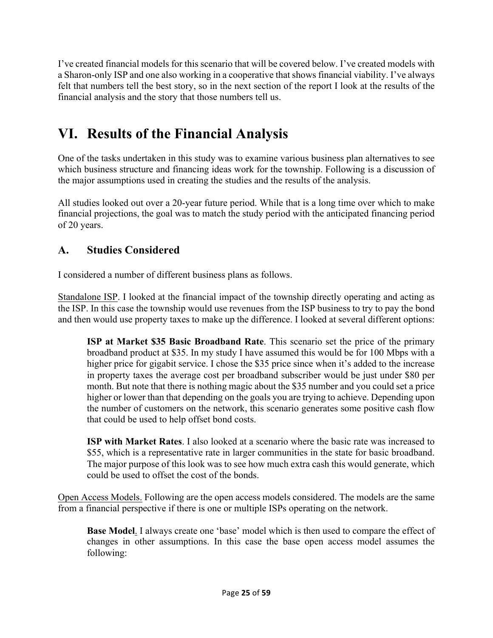I've created financial models for this scenario that will be covered below. I've created models with a Sharon-only ISP and one also working in a cooperative that shows financial viability. I've always felt that numbers tell the best story, so in the next section of the report I look at the results of the financial analysis and the story that those numbers tell us.

# **VI. Results of the Financial Analysis**

One of the tasks undertaken in this study was to examine various business plan alternatives to see which business structure and financing ideas work for the township. Following is a discussion of the major assumptions used in creating the studies and the results of the analysis.

All studies looked out over a 20-year future period. While that is a long time over which to make financial projections, the goal was to match the study period with the anticipated financing period of 20 years.

# **A. Studies Considered**

I considered a number of different business plans as follows.

Standalone ISP. I looked at the financial impact of the township directly operating and acting as the ISP. In this case the township would use revenues from the ISP business to try to pay the bond and then would use property taxes to make up the difference. I looked at several different options:

**ISP at Market \$35 Basic Broadband Rate**. This scenario set the price of the primary broadband product at \$35. In my study I have assumed this would be for 100 Mbps with a higher price for gigabit service. I chose the \$35 price since when it's added to the increase in property taxes the average cost per broadband subscriber would be just under \$80 per month. But note that there is nothing magic about the \$35 number and you could set a price higher or lower than that depending on the goals you are trying to achieve. Depending upon the number of customers on the network, this scenario generates some positive cash flow that could be used to help offset bond costs.

**ISP with Market Rates**. I also looked at a scenario where the basic rate was increased to \$55, which is a representative rate in larger communities in the state for basic broadband. The major purpose of this look was to see how much extra cash this would generate, which could be used to offset the cost of the bonds.

Open Access Models. Following are the open access models considered. The models are the same from a financial perspective if there is one or multiple ISPs operating on the network.

**Base Model**. I always create one 'base' model which is then used to compare the effect of changes in other assumptions. In this case the base open access model assumes the following: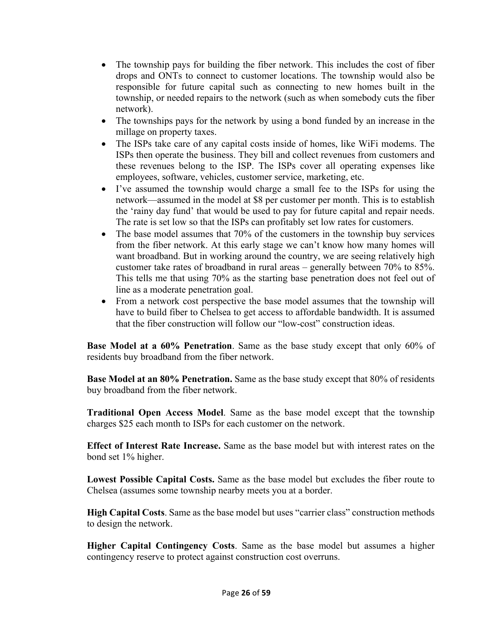- The township pays for building the fiber network. This includes the cost of fiber drops and ONTs to connect to customer locations. The township would also be responsible for future capital such as connecting to new homes built in the township, or needed repairs to the network (such as when somebody cuts the fiber network).
- The townships pays for the network by using a bond funded by an increase in the millage on property taxes.
- The ISPs take care of any capital costs inside of homes, like WiFi modems. The ISPs then operate the business. They bill and collect revenues from customers and these revenues belong to the ISP. The ISPs cover all operating expenses like employees, software, vehicles, customer service, marketing, etc.
- I've assumed the township would charge a small fee to the ISPs for using the network—assumed in the model at \$8 per customer per month. This is to establish the 'rainy day fund' that would be used to pay for future capital and repair needs. The rate is set low so that the ISPs can profitably set low rates for customers.
- The base model assumes that 70% of the customers in the township buy services from the fiber network. At this early stage we can't know how many homes will want broadband. But in working around the country, we are seeing relatively high customer take rates of broadband in rural areas – generally between 70% to 85%. This tells me that using 70% as the starting base penetration does not feel out of line as a moderate penetration goal.
- From a network cost perspective the base model assumes that the township will have to build fiber to Chelsea to get access to affordable bandwidth. It is assumed that the fiber construction will follow our "low-cost" construction ideas.

**Base Model at a 60% Penetration**. Same as the base study except that only 60% of residents buy broadband from the fiber network.

**Base Model at an 80% Penetration.** Same as the base study except that 80% of residents buy broadband from the fiber network.

**Traditional Open Access Model**. Same as the base model except that the township charges \$25 each month to ISPs for each customer on the network.

**Effect of Interest Rate Increase.** Same as the base model but with interest rates on the bond set 1% higher.

**Lowest Possible Capital Costs.** Same as the base model but excludes the fiber route to Chelsea (assumes some township nearby meets you at a border.

**High Capital Costs**. Same as the base model but uses "carrier class" construction methods to design the network.

**Higher Capital Contingency Costs**. Same as the base model but assumes a higher contingency reserve to protect against construction cost overruns.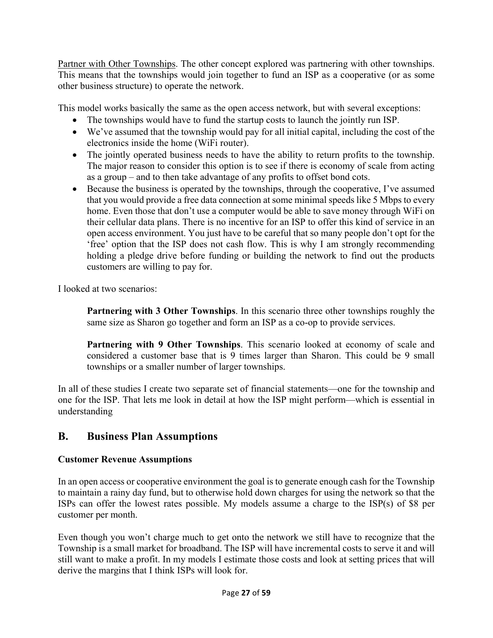Partner with Other Townships. The other concept explored was partnering with other townships. This means that the townships would join together to fund an ISP as a cooperative (or as some other business structure) to operate the network.

This model works basically the same as the open access network, but with several exceptions:

- The townships would have to fund the startup costs to launch the jointly run ISP.
- We've assumed that the township would pay for all initial capital, including the cost of the electronics inside the home (WiFi router).
- The jointly operated business needs to have the ability to return profits to the township. The major reason to consider this option is to see if there is economy of scale from acting as a group – and to then take advantage of any profits to offset bond cots.
- Because the business is operated by the townships, through the cooperative, I've assumed that you would provide a free data connection at some minimal speeds like 5 Mbps to every home. Even those that don't use a computer would be able to save money through WiFi on their cellular data plans. There is no incentive for an ISP to offer this kind of service in an open access environment. You just have to be careful that so many people don't opt for the 'free' option that the ISP does not cash flow. This is why I am strongly recommending holding a pledge drive before funding or building the network to find out the products customers are willing to pay for.

I looked at two scenarios:

**Partnering with 3 Other Townships**. In this scenario three other townships roughly the same size as Sharon go together and form an ISP as a co-op to provide services.

**Partnering with 9 Other Townships**. This scenario looked at economy of scale and considered a customer base that is 9 times larger than Sharon. This could be 9 small townships or a smaller number of larger townships.

In all of these studies I create two separate set of financial statements—one for the township and one for the ISP. That lets me look in detail at how the ISP might perform—which is essential in understanding

# **B. Business Plan Assumptions**

# **Customer Revenue Assumptions**

In an open access or cooperative environment the goal is to generate enough cash for the Township to maintain a rainy day fund, but to otherwise hold down charges for using the network so that the ISPs can offer the lowest rates possible. My models assume a charge to the ISP(s) of \$8 per customer per month.

Even though you won't charge much to get onto the network we still have to recognize that the Township is a small market for broadband. The ISP will have incremental costs to serve it and will still want to make a profit. In my models I estimate those costs and look at setting prices that will derive the margins that I think ISPs will look for.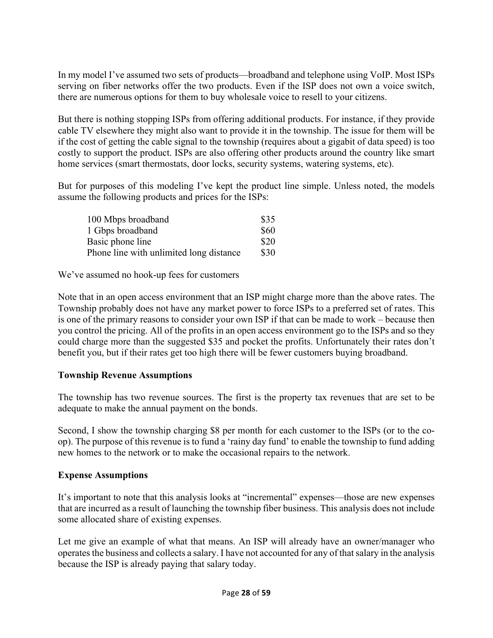In my model I've assumed two sets of products—broadband and telephone using VoIP. Most ISPs serving on fiber networks offer the two products. Even if the ISP does not own a voice switch, there are numerous options for them to buy wholesale voice to resell to your citizens.

But there is nothing stopping ISPs from offering additional products. For instance, if they provide cable TV elsewhere they might also want to provide it in the township. The issue for them will be if the cost of getting the cable signal to the township (requires about a gigabit of data speed) is too costly to support the product. ISPs are also offering other products around the country like smart home services (smart thermostats, door locks, security systems, watering systems, etc).

But for purposes of this modeling I've kept the product line simple. Unless noted, the models assume the following products and prices for the ISPs:

| 100 Mbps broadband                      | \$35 |
|-----------------------------------------|------|
| 1 Gbps broadband                        | \$60 |
| Basic phone line                        | \$20 |
| Phone line with unlimited long distance | \$30 |

We've assumed no hook-up fees for customers

Note that in an open access environment that an ISP might charge more than the above rates. The Township probably does not have any market power to force ISPs to a preferred set of rates. This is one of the primary reasons to consider your own ISP if that can be made to work – because then you control the pricing. All of the profits in an open access environment go to the ISPs and so they could charge more than the suggested \$35 and pocket the profits. Unfortunately their rates don't benefit you, but if their rates get too high there will be fewer customers buying broadband.

#### **Township Revenue Assumptions**

The township has two revenue sources. The first is the property tax revenues that are set to be adequate to make the annual payment on the bonds.

Second, I show the township charging \$8 per month for each customer to the ISPs (or to the coop). The purpose of this revenue is to fund a 'rainy day fund' to enable the township to fund adding new homes to the network or to make the occasional repairs to the network.

#### **Expense Assumptions**

It's important to note that this analysis looks at "incremental" expenses—those are new expenses that are incurred as a result of launching the township fiber business. This analysis does not include some allocated share of existing expenses.

Let me give an example of what that means. An ISP will already have an owner/manager who operates the business and collects a salary. I have not accounted for any of that salary in the analysis because the ISP is already paying that salary today.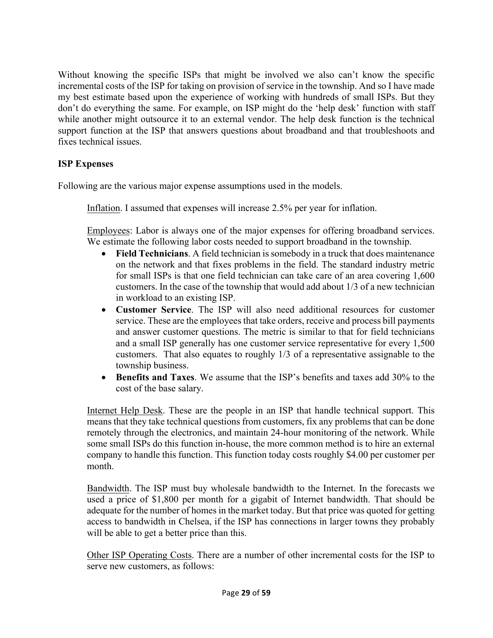Without knowing the specific ISPs that might be involved we also can't know the specific incremental costs of the ISP for taking on provision of service in the township. And so I have made my best estimate based upon the experience of working with hundreds of small ISPs. But they don't do everything the same. For example, on ISP might do the 'help desk' function with staff while another might outsource it to an external vendor. The help desk function is the technical support function at the ISP that answers questions about broadband and that troubleshoots and fixes technical issues.

#### **ISP Expenses**

Following are the various major expense assumptions used in the models.

Inflation. I assumed that expenses will increase 2.5% per year for inflation.

Employees: Labor is always one of the major expenses for offering broadband services. We estimate the following labor costs needed to support broadband in the township.

- **Field Technicians**. A field technician is somebody in a truck that does maintenance on the network and that fixes problems in the field. The standard industry metric for small ISPs is that one field technician can take care of an area covering 1,600 customers. In the case of the township that would add about 1/3 of a new technician in workload to an existing ISP.
- **Customer Service**. The ISP will also need additional resources for customer service. These are the employees that take orders, receive and process bill payments and answer customer questions. The metric is similar to that for field technicians and a small ISP generally has one customer service representative for every 1,500 customers. That also equates to roughly 1/3 of a representative assignable to the township business.
- **Benefits and Taxes**. We assume that the ISP's benefits and taxes add 30% to the cost of the base salary.

Internet Help Desk. These are the people in an ISP that handle technical support. This means that they take technical questions from customers, fix any problems that can be done remotely through the electronics, and maintain 24-hour monitoring of the network. While some small ISPs do this function in-house, the more common method is to hire an external company to handle this function. This function today costs roughly \$4.00 per customer per month.

Bandwidth. The ISP must buy wholesale bandwidth to the Internet. In the forecasts we used a price of \$1,800 per month for a gigabit of Internet bandwidth. That should be adequate for the number of homes in the market today. But that price was quoted for getting access to bandwidth in Chelsea, if the ISP has connections in larger towns they probably will be able to get a better price than this.

Other ISP Operating Costs. There are a number of other incremental costs for the ISP to serve new customers, as follows: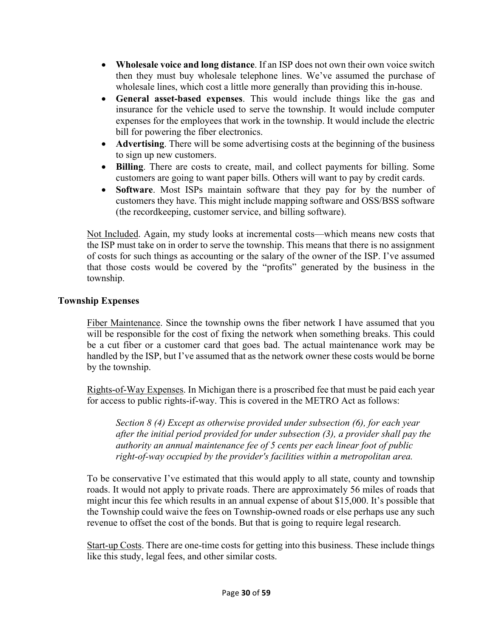- **Wholesale voice and long distance**. If an ISP does not own their own voice switch then they must buy wholesale telephone lines. We've assumed the purchase of wholesale lines, which cost a little more generally than providing this in-house.
- **General asset-based expenses**. This would include things like the gas and insurance for the vehicle used to serve the township. It would include computer expenses for the employees that work in the township. It would include the electric bill for powering the fiber electronics.
- **Advertising**. There will be some advertising costs at the beginning of the business to sign up new customers.
- **Billing**. There are costs to create, mail, and collect payments for billing. Some customers are going to want paper bills. Others will want to pay by credit cards.
- **Software**. Most ISPs maintain software that they pay for by the number of customers they have. This might include mapping software and OSS/BSS software (the recordkeeping, customer service, and billing software).

Not Included. Again, my study looks at incremental costs—which means new costs that the ISP must take on in order to serve the township. This means that there is no assignment of costs for such things as accounting or the salary of the owner of the ISP. I've assumed that those costs would be covered by the "profits" generated by the business in the township.

#### **Township Expenses**

Fiber Maintenance. Since the township owns the fiber network I have assumed that you will be responsible for the cost of fixing the network when something breaks. This could be a cut fiber or a customer card that goes bad. The actual maintenance work may be handled by the ISP, but I've assumed that as the network owner these costs would be borne by the township.

Rights-of-Way Expenses. In Michigan there is a proscribed fee that must be paid each year for access to public rights-if-way. This is covered in the METRO Act as follows:

*Section 8 (4) Except as otherwise provided under subsection (6), for each year after the initial period provided for under subsection (3), a provider shall pay the authority an annual maintenance fee of 5 cents per each linear foot of public right-of-way occupied by the provider's facilities within a metropolitan area.*

To be conservative I've estimated that this would apply to all state, county and township roads. It would not apply to private roads. There are approximately 56 miles of roads that might incur this fee which results in an annual expense of about \$15,000. It's possible that the Township could waive the fees on Township-owned roads or else perhaps use any such revenue to offset the cost of the bonds. But that is going to require legal research.

Start-up Costs. There are one-time costs for getting into this business. These include things like this study, legal fees, and other similar costs.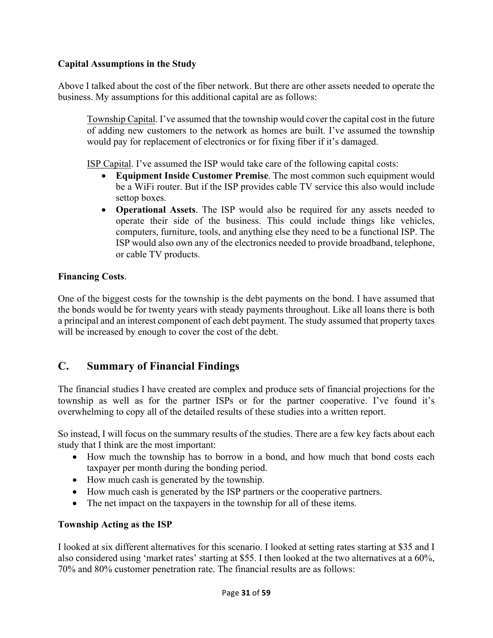# **Capital Assumptions in the Study**

Above I talked about the cost of the fiber network. But there are other assets needed to operate the business. My assumptions for this additional capital are as follows:

Township Capital. I've assumed that the township would cover the capital cost in the future of adding new customers to the network as homes are built. I've assumed the township would pay for replacement of electronics or for fixing fiber if it's damaged.

ISP Capital. I've assumed the ISP would take care of the following capital costs:

- **Equipment Inside Customer Premise**. The most common such equipment would be a WiFi router. But if the ISP provides cable TV service this also would include settop boxes.
- **Operational Assets**. The ISP would also be required for any assets needed to operate their side of the business. This could include things like vehicles, computers, furniture, tools, and anything else they need to be a functional ISP. The ISP would also own any of the electronics needed to provide broadband, telephone, or cable TV products.

#### **Financing Costs**.

One of the biggest costs for the township is the debt payments on the bond. I have assumed that the bonds would be for twenty years with steady payments throughout. Like all loans there is both a principal and an interest component of each debt payment. The study assumed that property taxes will be increased by enough to cover the cost of the debt.

# **C. Summary of Financial Findings**

The financial studies I have created are complex and produce sets of financial projections for the township as well as for the partner ISPs or for the partner cooperative. I've found it's overwhelming to copy all of the detailed results of these studies into a written report.

So instead, I will focus on the summary results of the studies. There are a few key facts about each study that I think are the most important:

- How much the township has to borrow in a bond, and how much that bond costs each taxpayer per month during the bonding period.
- How much cash is generated by the township.
- How much cash is generated by the ISP partners or the cooperative partners.
- The net impact on the taxpayers in the township for all of these items.

# **Township Acting as the ISP**

I looked at six different alternatives for this scenario. I looked at setting rates starting at \$35 and I also considered using 'market rates' starting at \$55. I then looked at the two alternatives at a 60%, 70% and 80% customer penetration rate. The financial results are as follows: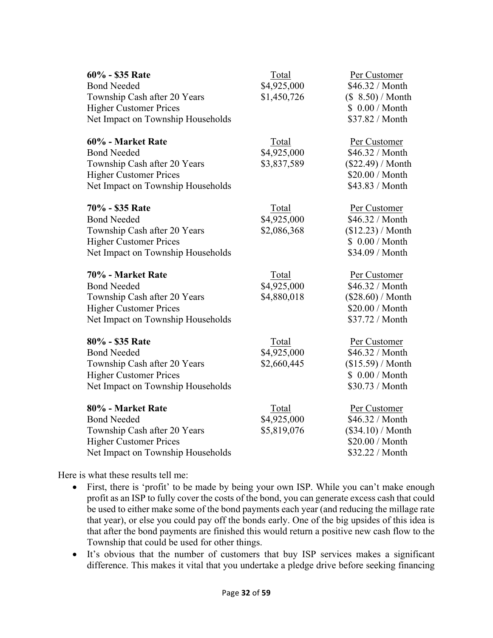| 60% - \$35 Rate<br><b>Bond Needed</b><br>Township Cash after 20 Years<br><b>Higher Customer Prices</b><br>Net Impact on Township Households   | Total<br>\$4,925,000<br>\$1,450,726 | Per Customer<br>\$46.32 / Month<br>(\$ 8.50) / <b>Month</b><br>\$ 0.00 / Month<br>\$37.82 / Month |
|-----------------------------------------------------------------------------------------------------------------------------------------------|-------------------------------------|---------------------------------------------------------------------------------------------------|
| 60% - Market Rate<br><b>Bond Needed</b><br>Township Cash after 20 Years<br><b>Higher Customer Prices</b><br>Net Impact on Township Households | Total<br>\$4,925,000<br>\$3,837,589 | Per Customer<br>\$46.32 / Month<br>$(\$22.49) / Month$<br>\$20.00 / Month<br>\$43.83 / Month      |
| 70% - \$35 Rate<br><b>Bond Needed</b><br>Township Cash after 20 Years<br><b>Higher Customer Prices</b><br>Net Impact on Township Households   | Total<br>\$4,925,000<br>\$2,086,368 | Per Customer<br>\$46.32 / Month<br>(\$12.23) / <b>Month</b><br>\$ 0.00 / Month<br>\$34.09 / Month |
| 70% - Market Rate<br><b>Bond Needed</b><br>Township Cash after 20 Years<br><b>Higher Customer Prices</b><br>Net Impact on Township Households | Total<br>\$4,925,000<br>\$4,880,018 | Per Customer<br>\$46.32 / Month<br>$(\$28.60) /$ Month<br>\$20.00 / Month<br>\$37.72 / Month      |
| 80% - \$35 Rate<br><b>Bond Needed</b><br>Township Cash after 20 Years<br><b>Higher Customer Prices</b><br>Net Impact on Township Households   | Total<br>\$4,925,000<br>\$2,660,445 | Per Customer<br>\$46.32 / Month<br>(\$15.59) / <b>Month</b><br>\$ 0.00 / Month<br>\$30.73 / Month |
| 80% - Market Rate<br><b>Bond Needed</b><br>Township Cash after 20 Years<br><b>Higher Customer Prices</b><br>Net Impact on Township Households | Total<br>\$4,925,000<br>\$5,819,076 | Per Customer<br>\$46.32 / Month<br>$(\$34.10)/Month$<br>\$20.00 / Month<br>\$32.22 / Month        |

Here is what these results tell me:

- First, there is 'profit' to be made by being your own ISP. While you can't make enough profit as an ISP to fully cover the costs of the bond, you can generate excess cash that could be used to either make some of the bond payments each year (and reducing the millage rate that year), or else you could pay off the bonds early. One of the big upsides of this idea is that after the bond payments are finished this would return a positive new cash flow to the Township that could be used for other things.
- It's obvious that the number of customers that buy ISP services makes a significant difference. This makes it vital that you undertake a pledge drive before seeking financing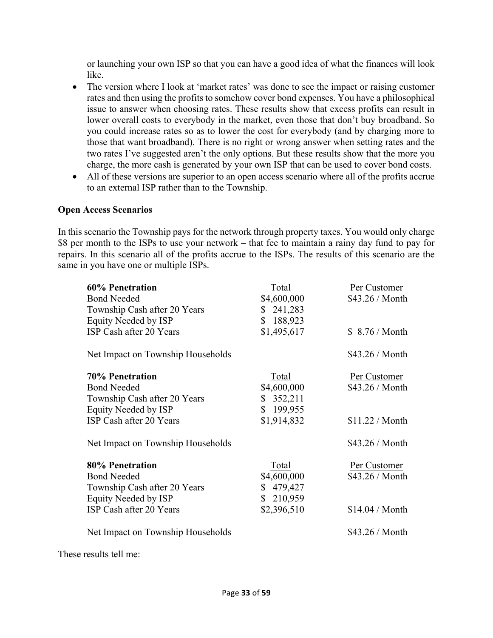or launching your own ISP so that you can have a good idea of what the finances will look like.

- The version where I look at 'market rates' was done to see the impact or raising customer rates and then using the profits to somehow cover bond expenses. You have a philosophical issue to answer when choosing rates. These results show that excess profits can result in lower overall costs to everybody in the market, even those that don't buy broadband. So you could increase rates so as to lower the cost for everybody (and by charging more to those that want broadband). There is no right or wrong answer when setting rates and the two rates I've suggested aren't the only options. But these results show that the more you charge, the more cash is generated by your own ISP that can be used to cover bond costs.
- All of these versions are superior to an open access scenario where all of the profits accrue to an external ISP rather than to the Township.

#### **Open Access Scenarios**

In this scenario the Township pays for the network through property taxes. You would only charge \$8 per month to the ISPs to use your network – that fee to maintain a rainy day fund to pay for repairs. In this scenario all of the profits accrue to the ISPs. The results of this scenario are the same in you have one or multiple ISPs.

| 60% Penetration                   | Total       | Per Customer           |
|-----------------------------------|-------------|------------------------|
| <b>Bond Needed</b>                | \$4,600,000 | \$43.26 / Month        |
| Township Cash after 20 Years      | \$241,283   |                        |
| Equity Needed by ISP              | \$188,923   |                        |
| ISP Cash after 20 Years           | \$1,495,617 | \$ 8.76 / Month        |
| Net Impact on Township Households |             | \$43.26 / Month        |
| <b>70% Penetration</b>            | Total       | Per Customer           |
| <b>Bond Needed</b>                | \$4,600,000 | \$43.26 / Month        |
| Township Cash after 20 Years      | \$352,211   |                        |
| Equity Needed by ISP              | \$199,955   |                        |
| ISP Cash after 20 Years           | \$1,914,832 | \$11.22 / <b>Month</b> |
| Net Impact on Township Households |             | \$43.26 / Month        |
| 80% Penetration                   | Total       | Per Customer           |
| <b>Bond Needed</b>                | \$4,600,000 | \$43.26 / Month        |
| Township Cash after 20 Years      | \$479,427   |                        |
| Equity Needed by ISP              | \$210,959   |                        |
| ISP Cash after 20 Years           | \$2,396,510 | \$14.04 / Month        |
| Net Impact on Township Households |             | \$43.26 / Month        |

These results tell me: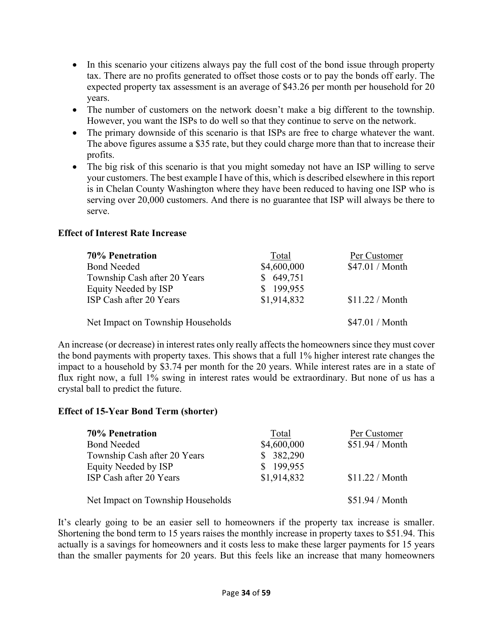- In this scenario your citizens always pay the full cost of the bond issue through property tax. There are no profits generated to offset those costs or to pay the bonds off early. The expected property tax assessment is an average of \$43.26 per month per household for 20 years.
- The number of customers on the network doesn't make a big different to the township. However, you want the ISPs to do well so that they continue to serve on the network.
- The primary downside of this scenario is that ISPs are free to charge whatever the want. The above figures assume a \$35 rate, but they could charge more than that to increase their profits.
- The big risk of this scenario is that you might someday not have an ISP willing to serve your customers. The best example I have of this, which is described elsewhere in this report is in Chelan County Washington where they have been reduced to having one ISP who is serving over 20,000 customers. And there is no guarantee that ISP will always be there to serve.

#### **Effect of Interest Rate Increase**

| <b>70% Penetration</b>            | Total       | Per Customer           |
|-----------------------------------|-------------|------------------------|
| <b>Bond Needed</b>                | \$4,600,000 | $$47.01 / M$ onth      |
| Township Cash after 20 Years      | \$649,751   |                        |
| Equity Needed by ISP              | \$199,955   |                        |
| ISP Cash after 20 Years           | \$1,914,832 | \$11.22 / <b>Month</b> |
| Net Impact on Township Households |             | \$47.01 / Month        |

An increase (or decrease) in interest rates only really affects the homeowners since they must cover the bond payments with property taxes. This shows that a full 1% higher interest rate changes the impact to a household by \$3.74 per month for the 20 years. While interest rates are in a state of flux right now, a full 1% swing in interest rates would be extraordinary. But none of us has a crystal ball to predict the future.

#### **Effect of 15-Year Bond Term (shorter)**

| <b>70% Penetration</b>            | Total       | Per Customer           |
|-----------------------------------|-------------|------------------------|
| <b>Bond Needed</b>                | \$4,600,000 | \$51.94 / Month        |
| Township Cash after 20 Years      | \$382,290   |                        |
| Equity Needed by ISP              | \$199,955   |                        |
| ISP Cash after 20 Years           | \$1,914,832 | \$11.22 / <b>Month</b> |
| Net Impact on Township Households |             | \$51.94 / Month        |

It's clearly going to be an easier sell to homeowners if the property tax increase is smaller. Shortening the bond term to 15 years raises the monthly increase in property taxes to \$51.94. This actually is a savings for homeowners and it costs less to make these larger payments for 15 years than the smaller payments for 20 years. But this feels like an increase that many homeowners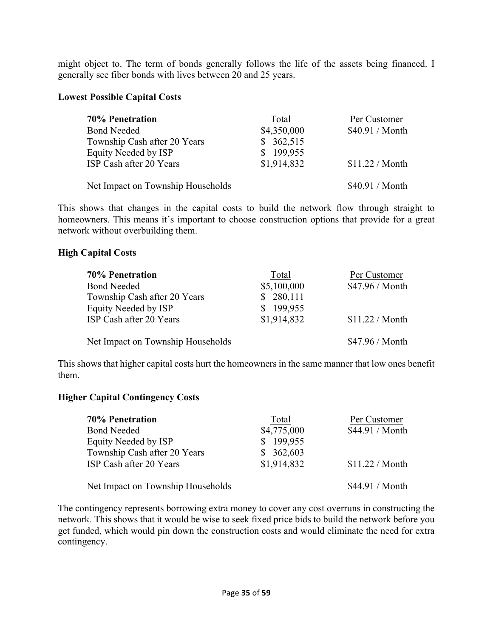might object to. The term of bonds generally follows the life of the assets being financed. I generally see fiber bonds with lives between 20 and 25 years.

#### **Lowest Possible Capital Costs**

| <b>70% Penetration</b>            | Total       | Per Customer           |
|-----------------------------------|-------------|------------------------|
| <b>Bond Needed</b>                | \$4,350,000 | \$40.91 / Month        |
| Township Cash after 20 Years      | \$362,515   |                        |
| Equity Needed by ISP              | \$199,955   |                        |
| ISP Cash after 20 Years           | \$1,914,832 | \$11.22 / <b>Month</b> |
| Net Impact on Township Households |             | \$40.91 / Month        |

This shows that changes in the capital costs to build the network flow through straight to homeowners. This means it's important to choose construction options that provide for a great network without overbuilding them.

#### **High Capital Costs**

| <b>70% Penetration</b>            | Total       | Per Customer           |
|-----------------------------------|-------------|------------------------|
| <b>Bond Needed</b>                | \$5,100,000 | \$47.96 / Month        |
| Township Cash after 20 Years      | \$280,111   |                        |
| Equity Needed by ISP              | \$199,955   |                        |
| ISP Cash after 20 Years           | \$1,914,832 | \$11.22 / <b>Month</b> |
| Net Impact on Township Households |             | \$47.96 / Month        |

This shows that higher capital costs hurt the homeowners in the same manner that low ones benefit them.

#### **Higher Capital Contingency Costs**

| <b>70% Penetration</b>            | Total       | Per Customer    |
|-----------------------------------|-------------|-----------------|
| <b>Bond Needed</b>                | \$4,775,000 | \$44.91 / Month |
| Equity Needed by ISP              | \$199,955   |                 |
| Township Cash after 20 Years      | \$362,603   |                 |
| ISP Cash after 20 Years           | \$1,914,832 | \$11.22 / Month |
| Net Impact on Township Households |             | \$44.91 / Month |

The contingency represents borrowing extra money to cover any cost overruns in constructing the network. This shows that it would be wise to seek fixed price bids to build the network before you get funded, which would pin down the construction costs and would eliminate the need for extra contingency.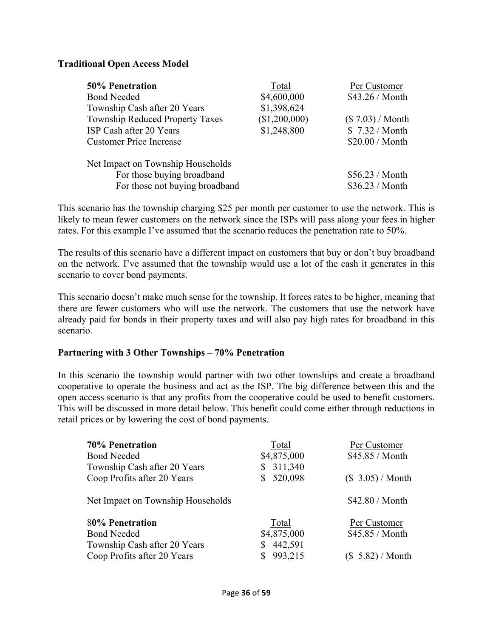#### **Traditional Open Access Model**

| <b>50% Penetration</b>                                                                            | Total         | Per Customer                       |
|---------------------------------------------------------------------------------------------------|---------------|------------------------------------|
| <b>Bond Needed</b>                                                                                | \$4,600,000   | \$43.26 / Month                    |
| Township Cash after 20 Years                                                                      | \$1,398,624   |                                    |
| <b>Township Reduced Property Taxes</b>                                                            | (\$1,200,000) | $(\$7.03)/Month$                   |
| ISP Cash after 20 Years                                                                           | \$1,248,800   | \$7.32 / Month                     |
| <b>Customer Price Increase</b>                                                                    |               | \$20.00 / Month                    |
| Net Impact on Township Households<br>For those buying broadband<br>For those not buying broadband |               | \$56.23 / Month<br>\$36.23 / Month |

This scenario has the township charging \$25 per month per customer to use the network. This is likely to mean fewer customers on the network since the ISPs will pass along your fees in higher rates. For this example I've assumed that the scenario reduces the penetration rate to 50%.

The results of this scenario have a different impact on customers that buy or don't buy broadband on the network. I've assumed that the township would use a lot of the cash it generates in this scenario to cover bond payments.

This scenario doesn't make much sense for the township. It forces rates to be higher, meaning that there are fewer customers who will use the network. The customers that use the network have already paid for bonds in their property taxes and will also pay high rates for broadband in this scenario.

#### **Partnering with 3 Other Townships – 70% Penetration**

In this scenario the township would partner with two other townships and create a broadband cooperative to operate the business and act as the ISP. The big difference between this and the open access scenario is that any profits from the cooperative could be used to benefit customers. This will be discussed in more detail below. This benefit could come either through reductions in retail prices or by lowering the cost of bond payments.

| <b>70% Penetration</b>            | Total         | Per Customer             |
|-----------------------------------|---------------|--------------------------|
| <b>Bond Needed</b>                | \$4,875,000   | \$45.85 / Month          |
| Township Cash after 20 Years      | 311,340<br>\$ |                          |
| Coop Profits after 20 Years       | 520,098       | (\$3.05) / <b>Month</b>  |
| Net Impact on Township Households |               | \$42.80 / Month          |
| 80% Penetration                   | Total         | Per Customer             |
| <b>Bond Needed</b>                | \$4,875,000   | \$45.85 / Month          |
| Township Cash after 20 Years      | 442,591<br>\$ |                          |
| Coop Profits after 20 Years       | 993,215       | (\$ 5.82) / <b>Month</b> |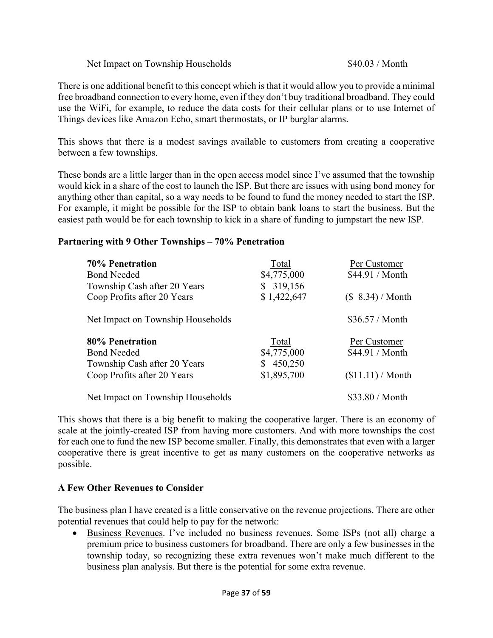#### Net Impact on Township Households \$40.03 / Month

There is one additional benefit to this concept which is that it would allow you to provide a minimal free broadband connection to every home, even if they don't buy traditional broadband. They could use the WiFi, for example, to reduce the data costs for their cellular plans or to use Internet of Things devices like Amazon Echo, smart thermostats, or IP burglar alarms.

This shows that there is a modest savings available to customers from creating a cooperative between a few townships.

These bonds are a little larger than in the open access model since I've assumed that the township would kick in a share of the cost to launch the ISP. But there are issues with using bond money for anything other than capital, so a way needs to be found to fund the money needed to start the ISP. For example, it might be possible for the ISP to obtain bank loans to start the business. But the easiest path would be for each township to kick in a share of funding to jumpstart the new ISP.

#### **Partnering with 9 Other Townships – 70% Penetration**

| <b>70% Penetration</b><br><b>Bond Needed</b><br>Township Cash after 20 Years<br>Coop Profits after 20 Years | Total<br>\$4,775,000<br>\$319,156<br>\$1,422,647 | Per Customer<br>\$44.91 / Month<br>$$8.34)/M$ onth |
|-------------------------------------------------------------------------------------------------------------|--------------------------------------------------|----------------------------------------------------|
| Net Impact on Township Households                                                                           |                                                  | \$36.57/Month                                      |
|                                                                                                             |                                                  |                                                    |
| 80% Penetration                                                                                             | Total                                            | Per Customer                                       |
| <b>Bond Needed</b>                                                                                          | \$4,775,000                                      | \$44.91 / Month                                    |
| Township Cash after 20 Years                                                                                | 450,250                                          |                                                    |
| Coop Profits after 20 Years                                                                                 | \$1,895,700                                      | (\$11.11) / <b>Month</b>                           |

This shows that there is a big benefit to making the cooperative larger. There is an economy of scale at the jointly-created ISP from having more customers. And with more townships the cost for each one to fund the new ISP become smaller. Finally, this demonstrates that even with a larger cooperative there is great incentive to get as many customers on the cooperative networks as possible.

# **A Few Other Revenues to Consider**

The business plan I have created is a little conservative on the revenue projections. There are other potential revenues that could help to pay for the network:

• Business Revenues. I've included no business revenues. Some ISPs (not all) charge a premium price to business customers for broadband. There are only a few businesses in the township today, so recognizing these extra revenues won't make much different to the business plan analysis. But there is the potential for some extra revenue.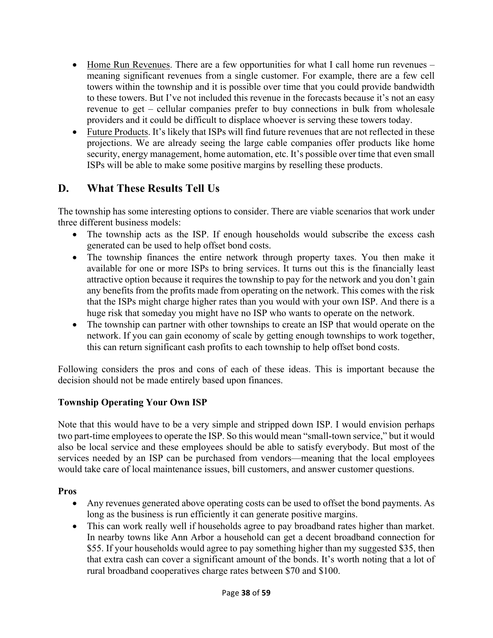- Home Run Revenues. There are a few opportunities for what I call home run revenues meaning significant revenues from a single customer. For example, there are a few cell towers within the township and it is possible over time that you could provide bandwidth to these towers. But I've not included this revenue in the forecasts because it's not an easy revenue to get – cellular companies prefer to buy connections in bulk from wholesale providers and it could be difficult to displace whoever is serving these towers today.
- Future Products. It's likely that ISPs will find future revenues that are not reflected in these projections. We are already seeing the large cable companies offer products like home security, energy management, home automation, etc. It's possible over time that even small ISPs will be able to make some positive margins by reselling these products.

# **D. What These Results Tell Us**

The township has some interesting options to consider. There are viable scenarios that work under three different business models:

- The township acts as the ISP. If enough households would subscribe the excess cash generated can be used to help offset bond costs.
- The township finances the entire network through property taxes. You then make it available for one or more ISPs to bring services. It turns out this is the financially least attractive option because it requires the township to pay for the network and you don't gain any benefits from the profits made from operating on the network. This comes with the risk that the ISPs might charge higher rates than you would with your own ISP. And there is a huge risk that someday you might have no ISP who wants to operate on the network.
- The township can partner with other townships to create an ISP that would operate on the network. If you can gain economy of scale by getting enough townships to work together, this can return significant cash profits to each township to help offset bond costs.

Following considers the pros and cons of each of these ideas. This is important because the decision should not be made entirely based upon finances.

# **Township Operating Your Own ISP**

Note that this would have to be a very simple and stripped down ISP. I would envision perhaps two part-time employees to operate the ISP. So this would mean "small-town service," but it would also be local service and these employees should be able to satisfy everybody. But most of the services needed by an ISP can be purchased from vendors—meaning that the local employees would take care of local maintenance issues, bill customers, and answer customer questions.

#### **Pros**

- Any revenues generated above operating costs can be used to offset the bond payments. As long as the business is run efficiently it can generate positive margins.
- This can work really well if households agree to pay broadband rates higher than market. In nearby towns like Ann Arbor a household can get a decent broadband connection for \$55. If your households would agree to pay something higher than my suggested \$35, then that extra cash can cover a significant amount of the bonds. It's worth noting that a lot of rural broadband cooperatives charge rates between \$70 and \$100.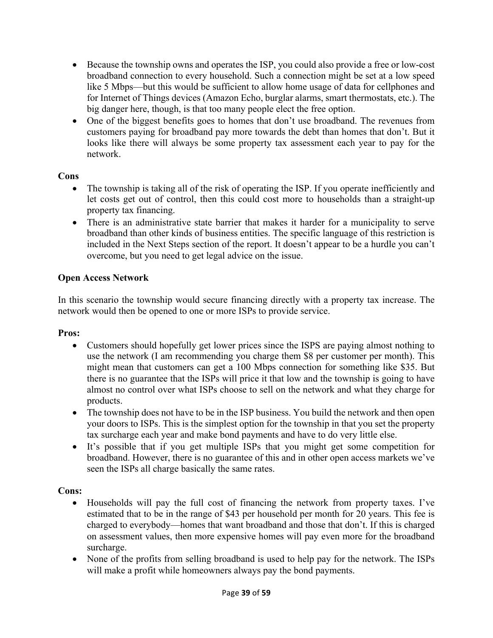- Because the township owns and operates the ISP, you could also provide a free or low-cost broadband connection to every household. Such a connection might be set at a low speed like 5 Mbps—but this would be sufficient to allow home usage of data for cellphones and for Internet of Things devices (Amazon Echo, burglar alarms, smart thermostats, etc.). The big danger here, though, is that too many people elect the free option.
- One of the biggest benefits goes to homes that don't use broadband. The revenues from customers paying for broadband pay more towards the debt than homes that don't. But it looks like there will always be some property tax assessment each year to pay for the network.

#### **Cons**

- The township is taking all of the risk of operating the ISP. If you operate inefficiently and let costs get out of control, then this could cost more to households than a straight-up property tax financing.
- There is an administrative state barrier that makes it harder for a municipality to serve broadband than other kinds of business entities. The specific language of this restriction is included in the Next Steps section of the report. It doesn't appear to be a hurdle you can't overcome, but you need to get legal advice on the issue.

# **Open Access Network**

In this scenario the township would secure financing directly with a property tax increase. The network would then be opened to one or more ISPs to provide service.

#### **Pros:**

- Customers should hopefully get lower prices since the ISPS are paying almost nothing to use the network (I am recommending you charge them \$8 per customer per month). This might mean that customers can get a 100 Mbps connection for something like \$35. But there is no guarantee that the ISPs will price it that low and the township is going to have almost no control over what ISPs choose to sell on the network and what they charge for products.
- The township does not have to be in the ISP business. You build the network and then open your doors to ISPs. This is the simplest option for the township in that you set the property tax surcharge each year and make bond payments and have to do very little else.
- It's possible that if you get multiple ISPs that you might get some competition for broadband. However, there is no guarantee of this and in other open access markets we've seen the ISPs all charge basically the same rates.

#### **Cons:**

- Households will pay the full cost of financing the network from property taxes. I've estimated that to be in the range of \$43 per household per month for 20 years. This fee is charged to everybody—homes that want broadband and those that don't. If this is charged on assessment values, then more expensive homes will pay even more for the broadband surcharge.
- None of the profits from selling broadband is used to help pay for the network. The ISPs will make a profit while homeowners always pay the bond payments.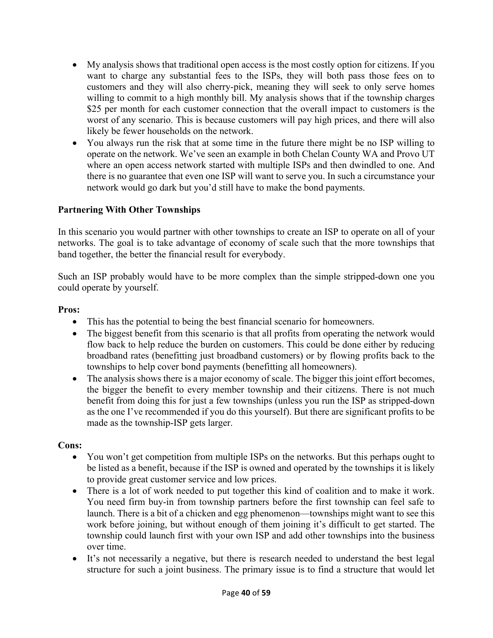- My analysis shows that traditional open access is the most costly option for citizens. If you want to charge any substantial fees to the ISPs, they will both pass those fees on to customers and they will also cherry-pick, meaning they will seek to only serve homes willing to commit to a high monthly bill. My analysis shows that if the township charges \$25 per month for each customer connection that the overall impact to customers is the worst of any scenario. This is because customers will pay high prices, and there will also likely be fewer households on the network.
- You always run the risk that at some time in the future there might be no ISP willing to operate on the network. We've seen an example in both Chelan County WA and Provo UT where an open access network started with multiple ISPs and then dwindled to one. And there is no guarantee that even one ISP will want to serve you. In such a circumstance your network would go dark but you'd still have to make the bond payments.

# **Partnering With Other Townships**

In this scenario you would partner with other townships to create an ISP to operate on all of your networks. The goal is to take advantage of economy of scale such that the more townships that band together, the better the financial result for everybody.

Such an ISP probably would have to be more complex than the simple stripped-down one you could operate by yourself.

#### **Pros:**

- This has the potential to being the best financial scenario for homeowners.
- The biggest benefit from this scenario is that all profits from operating the network would flow back to help reduce the burden on customers. This could be done either by reducing broadband rates (benefitting just broadband customers) or by flowing profits back to the townships to help cover bond payments (benefitting all homeowners).
- The analysis shows there is a major economy of scale. The bigger this joint effort becomes, the bigger the benefit to every member township and their citizens. There is not much benefit from doing this for just a few townships (unless you run the ISP as stripped-down as the one I've recommended if you do this yourself). But there are significant profits to be made as the township-ISP gets larger.

# **Cons:**

- You won't get competition from multiple ISPs on the networks. But this perhaps ought to be listed as a benefit, because if the ISP is owned and operated by the townships it is likely to provide great customer service and low prices.
- There is a lot of work needed to put together this kind of coalition and to make it work. You need firm buy-in from township partners before the first township can feel safe to launch. There is a bit of a chicken and egg phenomenon—townships might want to see this work before joining, but without enough of them joining it's difficult to get started. The township could launch first with your own ISP and add other townships into the business over time.
- It's not necessarily a negative, but there is research needed to understand the best legal structure for such a joint business. The primary issue is to find a structure that would let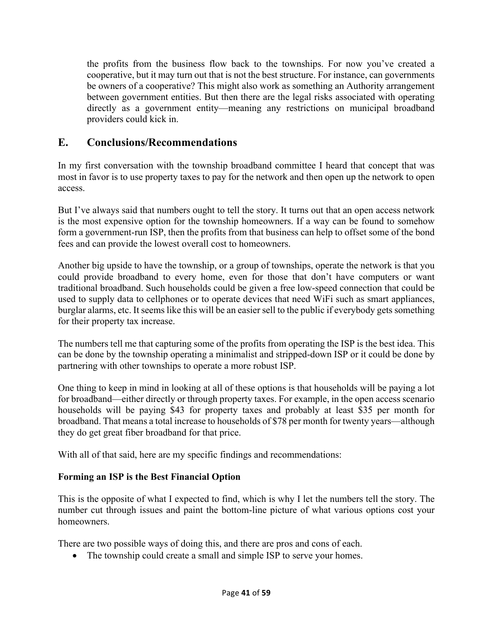the profits from the business flow back to the townships. For now you've created a cooperative, but it may turn out that is not the best structure. For instance, can governments be owners of a cooperative? This might also work as something an Authority arrangement between government entities. But then there are the legal risks associated with operating directly as a government entity—meaning any restrictions on municipal broadband providers could kick in.

# **E. Conclusions/Recommendations**

In my first conversation with the township broadband committee I heard that concept that was most in favor is to use property taxes to pay for the network and then open up the network to open access.

But I've always said that numbers ought to tell the story. It turns out that an open access network is the most expensive option for the township homeowners. If a way can be found to somehow form a government-run ISP, then the profits from that business can help to offset some of the bond fees and can provide the lowest overall cost to homeowners.

Another big upside to have the township, or a group of townships, operate the network is that you could provide broadband to every home, even for those that don't have computers or want traditional broadband. Such households could be given a free low-speed connection that could be used to supply data to cellphones or to operate devices that need WiFi such as smart appliances, burglar alarms, etc. It seems like this will be an easier sell to the public if everybody gets something for their property tax increase.

The numbers tell me that capturing some of the profits from operating the ISP is the best idea. This can be done by the township operating a minimalist and stripped-down ISP or it could be done by partnering with other townships to operate a more robust ISP.

One thing to keep in mind in looking at all of these options is that households will be paying a lot for broadband—either directly or through property taxes. For example, in the open access scenario households will be paying \$43 for property taxes and probably at least \$35 per month for broadband. That means a total increase to households of \$78 per month for twenty years—although they do get great fiber broadband for that price.

With all of that said, here are my specific findings and recommendations:

# **Forming an ISP is the Best Financial Option**

This is the opposite of what I expected to find, which is why I let the numbers tell the story. The number cut through issues and paint the bottom-line picture of what various options cost your homeowners.

There are two possible ways of doing this, and there are pros and cons of each.

• The township could create a small and simple ISP to serve your homes.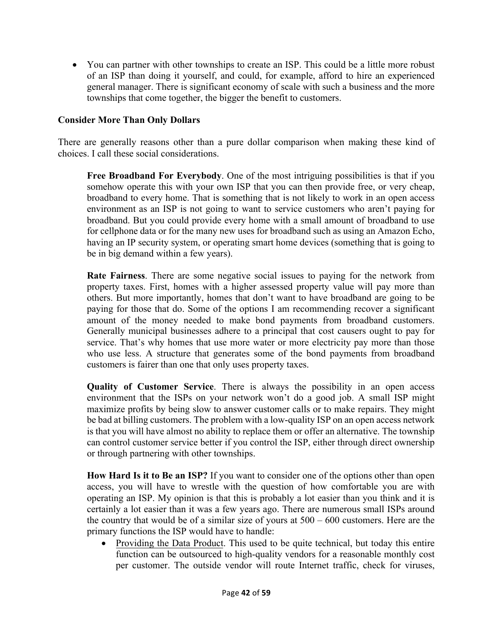• You can partner with other townships to create an ISP. This could be a little more robust of an ISP than doing it yourself, and could, for example, afford to hire an experienced general manager. There is significant economy of scale with such a business and the more townships that come together, the bigger the benefit to customers.

#### **Consider More Than Only Dollars**

There are generally reasons other than a pure dollar comparison when making these kind of choices. I call these social considerations.

**Free Broadband For Everybody**. One of the most intriguing possibilities is that if you somehow operate this with your own ISP that you can then provide free, or very cheap, broadband to every home. That is something that is not likely to work in an open access environment as an ISP is not going to want to service customers who aren't paying for broadband. But you could provide every home with a small amount of broadband to use for cellphone data or for the many new uses for broadband such as using an Amazon Echo, having an IP security system, or operating smart home devices (something that is going to be in big demand within a few years).

**Rate Fairness**. There are some negative social issues to paying for the network from property taxes. First, homes with a higher assessed property value will pay more than others. But more importantly, homes that don't want to have broadband are going to be paying for those that do. Some of the options I am recommending recover a significant amount of the money needed to make bond payments from broadband customers. Generally municipal businesses adhere to a principal that cost causers ought to pay for service. That's why homes that use more water or more electricity pay more than those who use less. A structure that generates some of the bond payments from broadband customers is fairer than one that only uses property taxes.

**Quality of Customer Service**. There is always the possibility in an open access environment that the ISPs on your network won't do a good job. A small ISP might maximize profits by being slow to answer customer calls or to make repairs. They might be bad at billing customers. The problem with a low-quality ISP on an open access network is that you will have almost no ability to replace them or offer an alternative. The township can control customer service better if you control the ISP, either through direct ownership or through partnering with other townships.

**How Hard Is it to Be an ISP?** If you want to consider one of the options other than open access, you will have to wrestle with the question of how comfortable you are with operating an ISP. My opinion is that this is probably a lot easier than you think and it is certainly a lot easier than it was a few years ago. There are numerous small ISPs around the country that would be of a similar size of yours at 500 – 600 customers. Here are the primary functions the ISP would have to handle:

• Providing the Data Product. This used to be quite technical, but today this entire function can be outsourced to high-quality vendors for a reasonable monthly cost per customer. The outside vendor will route Internet traffic, check for viruses,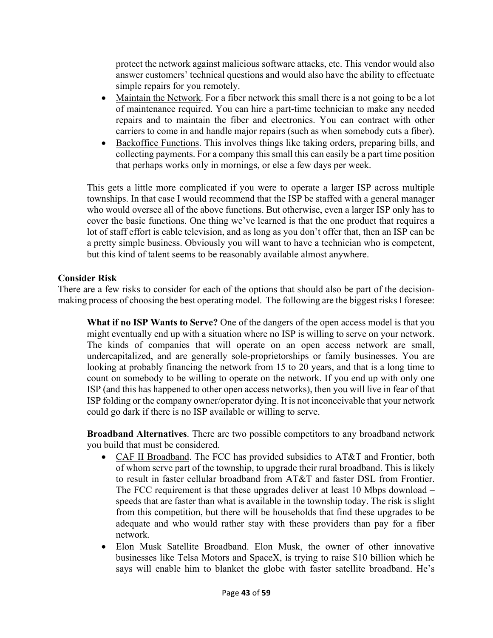protect the network against malicious software attacks, etc. This vendor would also answer customers' technical questions and would also have the ability to effectuate simple repairs for you remotely.

- Maintain the Network. For a fiber network this small there is a not going to be a lot of maintenance required. You can hire a part-time technician to make any needed repairs and to maintain the fiber and electronics. You can contract with other carriers to come in and handle major repairs (such as when somebody cuts a fiber).
- Backoffice Functions. This involves things like taking orders, preparing bills, and collecting payments. For a company this small this can easily be a part time position that perhaps works only in mornings, or else a few days per week.

This gets a little more complicated if you were to operate a larger ISP across multiple townships. In that case I would recommend that the ISP be staffed with a general manager who would oversee all of the above functions. But otherwise, even a larger ISP only has to cover the basic functions. One thing we've learned is that the one product that requires a lot of staff effort is cable television, and as long as you don't offer that, then an ISP can be a pretty simple business. Obviously you will want to have a technician who is competent, but this kind of talent seems to be reasonably available almost anywhere.

#### **Consider Risk**

There are a few risks to consider for each of the options that should also be part of the decisionmaking process of choosing the best operating model. The following are the biggest risks I foresee:

**What if no ISP Wants to Serve?** One of the dangers of the open access model is that you might eventually end up with a situation where no ISP is willing to serve on your network. The kinds of companies that will operate on an open access network are small, undercapitalized, and are generally sole-proprietorships or family businesses. You are looking at probably financing the network from 15 to 20 years, and that is a long time to count on somebody to be willing to operate on the network. If you end up with only one ISP (and this has happened to other open access networks), then you will live in fear of that ISP folding or the company owner/operator dying. It is not inconceivable that your network could go dark if there is no ISP available or willing to serve.

**Broadband Alternatives**. There are two possible competitors to any broadband network you build that must be considered.

- CAF II Broadband. The FCC has provided subsidies to AT&T and Frontier, both of whom serve part of the township, to upgrade their rural broadband. This is likely to result in faster cellular broadband from AT&T and faster DSL from Frontier. The FCC requirement is that these upgrades deliver at least 10 Mbps download – speeds that are faster than what is available in the township today. The risk is slight from this competition, but there will be households that find these upgrades to be adequate and who would rather stay with these providers than pay for a fiber network.
- Elon Musk Satellite Broadband. Elon Musk, the owner of other innovative businesses like Telsa Motors and SpaceX, is trying to raise \$10 billion which he says will enable him to blanket the globe with faster satellite broadband. He's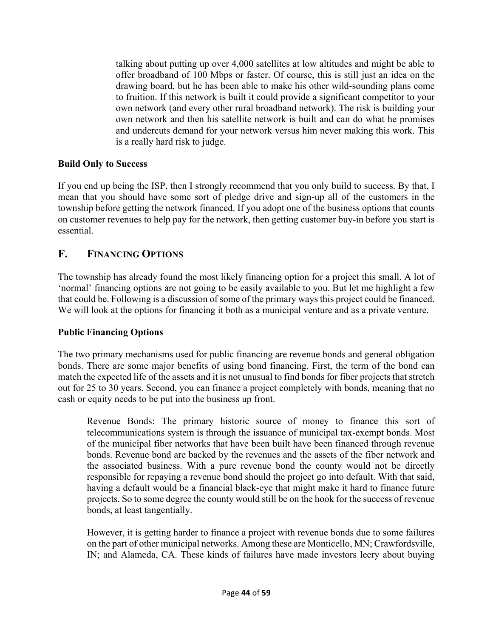talking about putting up over 4,000 satellites at low altitudes and might be able to offer broadband of 100 Mbps or faster. Of course, this is still just an idea on the drawing board, but he has been able to make his other wild-sounding plans come to fruition. If this network is built it could provide a significant competitor to your own network (and every other rural broadband network). The risk is building your own network and then his satellite network is built and can do what he promises and undercuts demand for your network versus him never making this work. This is a really hard risk to judge.

#### **Build Only to Success**

If you end up being the ISP, then I strongly recommend that you only build to success. By that, I mean that you should have some sort of pledge drive and sign-up all of the customers in the township before getting the network financed. If you adopt one of the business options that counts on customer revenues to help pay for the network, then getting customer buy-in before you start is essential.

# **F. FINANCING OPTIONS**

The township has already found the most likely financing option for a project this small. A lot of 'normal' financing options are not going to be easily available to you. But let me highlight a few that could be. Following is a discussion of some of the primary ways this project could be financed. We will look at the options for financing it both as a municipal venture and as a private venture.

#### **Public Financing Options**

The two primary mechanisms used for public financing are revenue bonds and general obligation bonds. There are some major benefits of using bond financing. First, the term of the bond can match the expected life of the assets and it is not unusual to find bonds for fiber projects that stretch out for 25 to 30 years. Second, you can finance a project completely with bonds, meaning that no cash or equity needs to be put into the business up front.

Revenue Bonds: The primary historic source of money to finance this sort of telecommunications system is through the issuance of municipal tax-exempt bonds. Most of the municipal fiber networks that have been built have been financed through revenue bonds. Revenue bond are backed by the revenues and the assets of the fiber network and the associated business. With a pure revenue bond the county would not be directly responsible for repaying a revenue bond should the project go into default. With that said, having a default would be a financial black-eye that might make it hard to finance future projects. So to some degree the county would still be on the hook for the success of revenue bonds, at least tangentially.

However, it is getting harder to finance a project with revenue bonds due to some failures on the part of other municipal networks. Among these are Monticello, MN; Crawfordsville, IN; and Alameda, CA. These kinds of failures have made investors leery about buying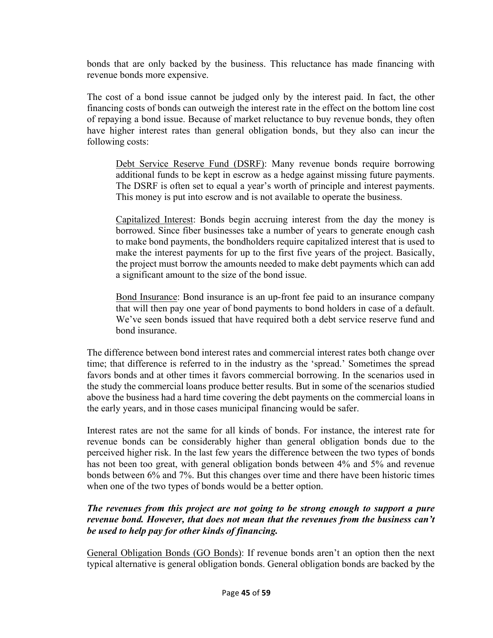bonds that are only backed by the business. This reluctance has made financing with revenue bonds more expensive.

The cost of a bond issue cannot be judged only by the interest paid. In fact, the other financing costs of bonds can outweigh the interest rate in the effect on the bottom line cost of repaying a bond issue. Because of market reluctance to buy revenue bonds, they often have higher interest rates than general obligation bonds, but they also can incur the following costs:

Debt Service Reserve Fund (DSRF): Many revenue bonds require borrowing additional funds to be kept in escrow as a hedge against missing future payments. The DSRF is often set to equal a year's worth of principle and interest payments. This money is put into escrow and is not available to operate the business.

Capitalized Interest: Bonds begin accruing interest from the day the money is borrowed. Since fiber businesses take a number of years to generate enough cash to make bond payments, the bondholders require capitalized interest that is used to make the interest payments for up to the first five years of the project. Basically, the project must borrow the amounts needed to make debt payments which can add a significant amount to the size of the bond issue.

Bond Insurance: Bond insurance is an up-front fee paid to an insurance company that will then pay one year of bond payments to bond holders in case of a default. We've seen bonds issued that have required both a debt service reserve fund and bond insurance.

The difference between bond interest rates and commercial interest rates both change over time; that difference is referred to in the industry as the 'spread.' Sometimes the spread favors bonds and at other times it favors commercial borrowing. In the scenarios used in the study the commercial loans produce better results. But in some of the scenarios studied above the business had a hard time covering the debt payments on the commercial loans in the early years, and in those cases municipal financing would be safer.

Interest rates are not the same for all kinds of bonds. For instance, the interest rate for revenue bonds can be considerably higher than general obligation bonds due to the perceived higher risk. In the last few years the difference between the two types of bonds has not been too great, with general obligation bonds between 4% and 5% and revenue bonds between 6% and 7%. But this changes over time and there have been historic times when one of the two types of bonds would be a better option.

#### *The revenues from this project are not going to be strong enough to support a pure revenue bond. However, that does not mean that the revenues from the business can't be used to help pay for other kinds of financing.*

General Obligation Bonds (GO Bonds): If revenue bonds aren't an option then the next typical alternative is general obligation bonds. General obligation bonds are backed by the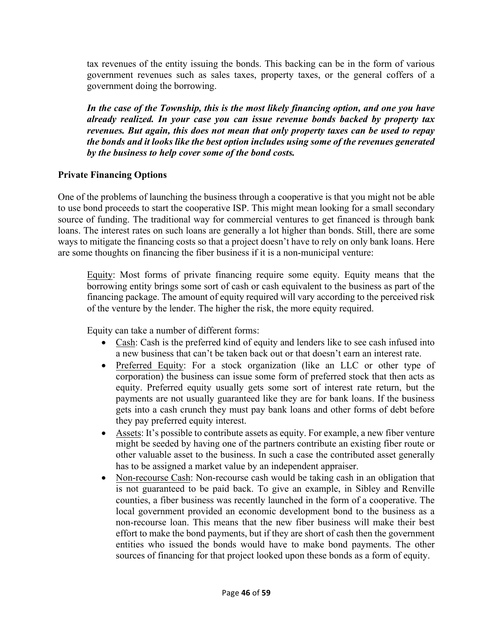tax revenues of the entity issuing the bonds. This backing can be in the form of various government revenues such as sales taxes, property taxes, or the general coffers of a government doing the borrowing.

*In the case of the Township, this is the most likely financing option, and one you have already realized. In your case you can issue revenue bonds backed by property tax revenues. But again, this does not mean that only property taxes can be used to repay the bonds and it looks like the best option includes using some of the revenues generated by the business to help cover some of the bond costs.*

#### **Private Financing Options**

One of the problems of launching the business through a cooperative is that you might not be able to use bond proceeds to start the cooperative ISP. This might mean looking for a small secondary source of funding. The traditional way for commercial ventures to get financed is through bank loans. The interest rates on such loans are generally a lot higher than bonds. Still, there are some ways to mitigate the financing costs so that a project doesn't have to rely on only bank loans. Here are some thoughts on financing the fiber business if it is a non-municipal venture:

Equity: Most forms of private financing require some equity. Equity means that the borrowing entity brings some sort of cash or cash equivalent to the business as part of the financing package. The amount of equity required will vary according to the perceived risk of the venture by the lender. The higher the risk, the more equity required.

Equity can take a number of different forms:

- Cash: Cash is the preferred kind of equity and lenders like to see cash infused into a new business that can't be taken back out or that doesn't earn an interest rate.
- Preferred Equity: For a stock organization (like an LLC or other type of corporation) the business can issue some form of preferred stock that then acts as equity. Preferred equity usually gets some sort of interest rate return, but the payments are not usually guaranteed like they are for bank loans. If the business gets into a cash crunch they must pay bank loans and other forms of debt before they pay preferred equity interest.
- Assets: It's possible to contribute assets as equity. For example, a new fiber venture might be seeded by having one of the partners contribute an existing fiber route or other valuable asset to the business. In such a case the contributed asset generally has to be assigned a market value by an independent appraiser.
- Non-recourse Cash: Non-recourse cash would be taking cash in an obligation that is not guaranteed to be paid back. To give an example, in Sibley and Renville counties, a fiber business was recently launched in the form of a cooperative. The local government provided an economic development bond to the business as a non-recourse loan. This means that the new fiber business will make their best effort to make the bond payments, but if they are short of cash then the government entities who issued the bonds would have to make bond payments. The other sources of financing for that project looked upon these bonds as a form of equity.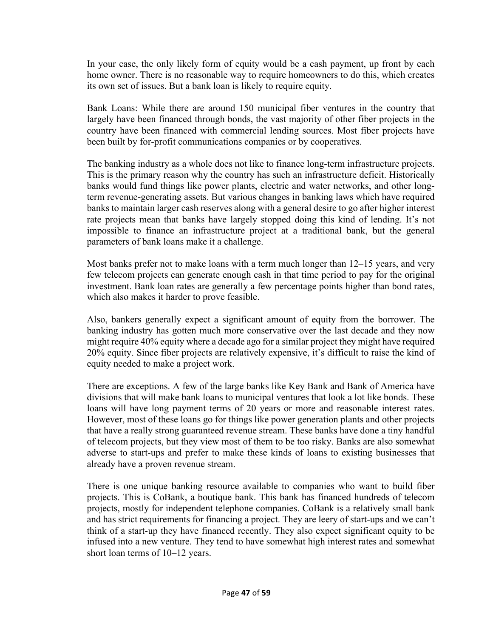In your case, the only likely form of equity would be a cash payment, up front by each home owner. There is no reasonable way to require homeowners to do this, which creates its own set of issues. But a bank loan is likely to require equity.

Bank Loans: While there are around 150 municipal fiber ventures in the country that largely have been financed through bonds, the vast majority of other fiber projects in the country have been financed with commercial lending sources. Most fiber projects have been built by for-profit communications companies or by cooperatives.

The banking industry as a whole does not like to finance long-term infrastructure projects. This is the primary reason why the country has such an infrastructure deficit. Historically banks would fund things like power plants, electric and water networks, and other longterm revenue-generating assets. But various changes in banking laws which have required banks to maintain larger cash reserves along with a general desire to go after higher interest rate projects mean that banks have largely stopped doing this kind of lending. It's not impossible to finance an infrastructure project at a traditional bank, but the general parameters of bank loans make it a challenge.

Most banks prefer not to make loans with a term much longer than 12–15 years, and very few telecom projects can generate enough cash in that time period to pay for the original investment. Bank loan rates are generally a few percentage points higher than bond rates, which also makes it harder to prove feasible.

Also, bankers generally expect a significant amount of equity from the borrower. The banking industry has gotten much more conservative over the last decade and they now might require 40% equity where a decade ago for a similar project they might have required 20% equity. Since fiber projects are relatively expensive, it's difficult to raise the kind of equity needed to make a project work.

There are exceptions. A few of the large banks like Key Bank and Bank of America have divisions that will make bank loans to municipal ventures that look a lot like bonds. These loans will have long payment terms of 20 years or more and reasonable interest rates. However, most of these loans go for things like power generation plants and other projects that have a really strong guaranteed revenue stream. These banks have done a tiny handful of telecom projects, but they view most of them to be too risky. Banks are also somewhat adverse to start-ups and prefer to make these kinds of loans to existing businesses that already have a proven revenue stream.

There is one unique banking resource available to companies who want to build fiber projects. This is CoBank, a boutique bank. This bank has financed hundreds of telecom projects, mostly for independent telephone companies. CoBank is a relatively small bank and has strict requirements for financing a project. They are leery of start-ups and we can't think of a start-up they have financed recently. They also expect significant equity to be infused into a new venture. They tend to have somewhat high interest rates and somewhat short loan terms of  $10-12$  years.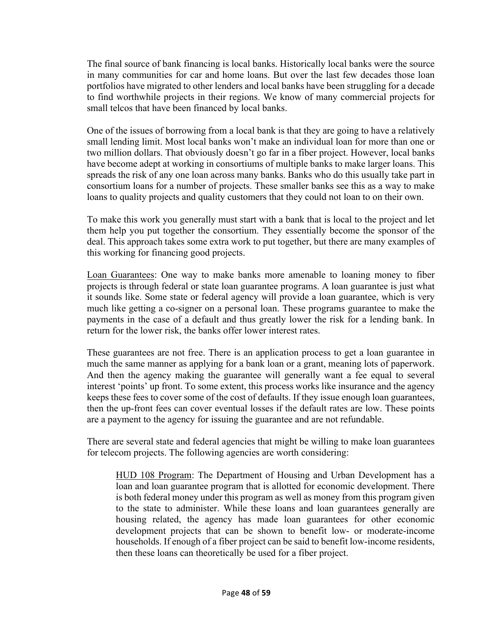The final source of bank financing is local banks. Historically local banks were the source in many communities for car and home loans. But over the last few decades those loan portfolios have migrated to other lenders and local banks have been struggling for a decade to find worthwhile projects in their regions. We know of many commercial projects for small telcos that have been financed by local banks.

One of the issues of borrowing from a local bank is that they are going to have a relatively small lending limit. Most local banks won't make an individual loan for more than one or two million dollars. That obviously doesn't go far in a fiber project. However, local banks have become adept at working in consortiums of multiple banks to make larger loans. This spreads the risk of any one loan across many banks. Banks who do this usually take part in consortium loans for a number of projects. These smaller banks see this as a way to make loans to quality projects and quality customers that they could not loan to on their own.

To make this work you generally must start with a bank that is local to the project and let them help you put together the consortium. They essentially become the sponsor of the deal. This approach takes some extra work to put together, but there are many examples of this working for financing good projects.

Loan Guarantees: One way to make banks more amenable to loaning money to fiber projects is through federal or state loan guarantee programs. A loan guarantee is just what it sounds like. Some state or federal agency will provide a loan guarantee, which is very much like getting a co-signer on a personal loan. These programs guarantee to make the payments in the case of a default and thus greatly lower the risk for a lending bank. In return for the lower risk, the banks offer lower interest rates.

These guarantees are not free. There is an application process to get a loan guarantee in much the same manner as applying for a bank loan or a grant, meaning lots of paperwork. And then the agency making the guarantee will generally want a fee equal to several interest 'points' up front. To some extent, this process works like insurance and the agency keeps these fees to cover some of the cost of defaults. If they issue enough loan guarantees, then the up-front fees can cover eventual losses if the default rates are low. These points are a payment to the agency for issuing the guarantee and are not refundable.

There are several state and federal agencies that might be willing to make loan guarantees for telecom projects. The following agencies are worth considering:

HUD 108 Program: The Department of Housing and Urban Development has a loan and loan guarantee program that is allotted for economic development. There is both federal money under this program as well as money from this program given to the state to administer. While these loans and loan guarantees generally are housing related, the agency has made loan guarantees for other economic development projects that can be shown to benefit low- or moderate-income households. If enough of a fiber project can be said to benefit low-income residents, then these loans can theoretically be used for a fiber project.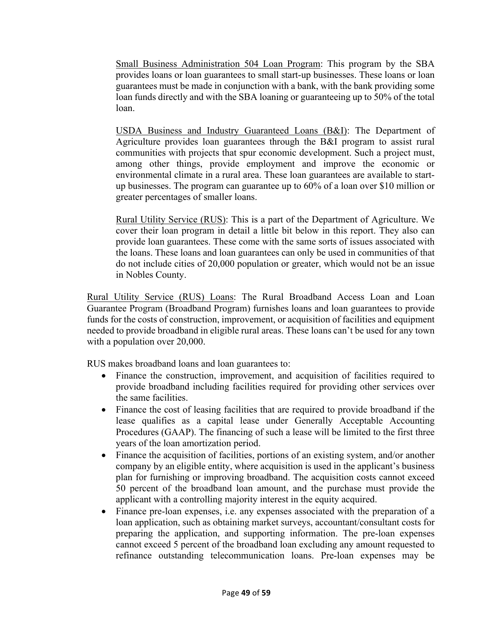Small Business Administration 504 Loan Program: This program by the SBA provides loans or loan guarantees to small start-up businesses. These loans or loan guarantees must be made in conjunction with a bank, with the bank providing some loan funds directly and with the SBA loaning or guaranteeing up to 50% of the total loan.

USDA Business and Industry Guaranteed Loans (B&I): The Department of Agriculture provides loan guarantees through the B&I program to assist rural communities with projects that spur economic development. Such a project must, among other things, provide employment and improve the economic or environmental climate in a rural area. These loan guarantees are available to startup businesses. The program can guarantee up to 60% of a loan over \$10 million or greater percentages of smaller loans.

Rural Utility Service (RUS): This is a part of the Department of Agriculture. We cover their loan program in detail a little bit below in this report. They also can provide loan guarantees. These come with the same sorts of issues associated with the loans. These loans and loan guarantees can only be used in communities of that do not include cities of 20,000 population or greater, which would not be an issue in Nobles County.

Rural Utility Service (RUS) Loans: The Rural Broadband Access Loan and Loan Guarantee Program (Broadband Program) furnishes loans and loan guarantees to provide funds for the costs of construction, improvement, or acquisition of facilities and equipment needed to provide broadband in eligible rural areas. These loans can't be used for any town with a population over 20,000.

RUS makes broadband loans and loan guarantees to:

- Finance the construction, improvement, and acquisition of facilities required to provide broadband including facilities required for providing other services over the same facilities.
- Finance the cost of leasing facilities that are required to provide broadband if the lease qualifies as a capital lease under Generally Acceptable Accounting Procedures (GAAP). The financing of such a lease will be limited to the first three years of the loan amortization period.
- Finance the acquisition of facilities, portions of an existing system, and/or another company by an eligible entity, where acquisition is used in the applicant's business plan for furnishing or improving broadband. The acquisition costs cannot exceed 50 percent of the broadband loan amount, and the purchase must provide the applicant with a controlling majority interest in the equity acquired.
- Finance pre-loan expenses, i.e. any expenses associated with the preparation of a loan application, such as obtaining market surveys, accountant/consultant costs for preparing the application, and supporting information. The pre-loan expenses cannot exceed 5 percent of the broadband loan excluding any amount requested to refinance outstanding telecommunication loans. Pre-loan expenses may be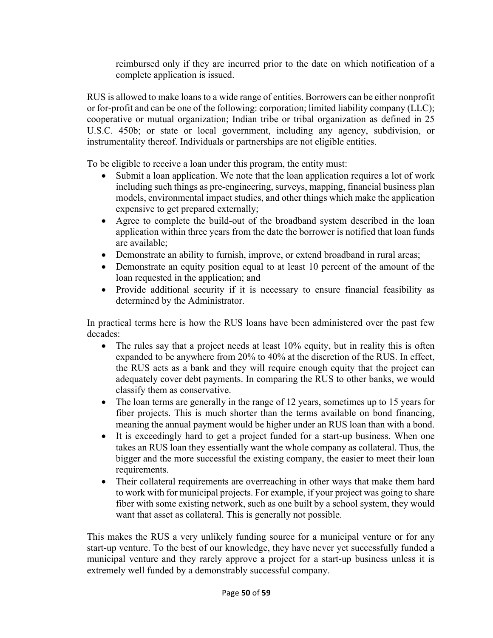reimbursed only if they are incurred prior to the date on which notification of a complete application is issued.

RUS is allowed to make loans to a wide range of entities. Borrowers can be either nonprofit or for-profit and can be one of the following: corporation; limited liability company (LLC); cooperative or mutual organization; Indian tribe or tribal organization as defined in 25 U.S.C. 450b; or state or local government, including any agency, subdivision, or instrumentality thereof. Individuals or partnerships are not eligible entities.

To be eligible to receive a loan under this program, the entity must:

- Submit a loan application. We note that the loan application requires a lot of work including such things as pre-engineering, surveys, mapping, financial business plan models, environmental impact studies, and other things which make the application expensive to get prepared externally;
- Agree to complete the build-out of the broadband system described in the loan application within three years from the date the borrower is notified that loan funds are available;
- Demonstrate an ability to furnish, improve, or extend broadband in rural areas;
- Demonstrate an equity position equal to at least 10 percent of the amount of the loan requested in the application; and
- Provide additional security if it is necessary to ensure financial feasibility as determined by the Administrator.

In practical terms here is how the RUS loans have been administered over the past few decades:

- The rules say that a project needs at least 10% equity, but in reality this is often expanded to be anywhere from 20% to 40% at the discretion of the RUS. In effect, the RUS acts as a bank and they will require enough equity that the project can adequately cover debt payments. In comparing the RUS to other banks, we would classify them as conservative.
- The loan terms are generally in the range of 12 years, sometimes up to 15 years for fiber projects. This is much shorter than the terms available on bond financing, meaning the annual payment would be higher under an RUS loan than with a bond.
- It is exceedingly hard to get a project funded for a start-up business. When one takes an RUS loan they essentially want the whole company as collateral. Thus, the bigger and the more successful the existing company, the easier to meet their loan requirements.
- Their collateral requirements are overreaching in other ways that make them hard to work with for municipal projects. For example, if your project was going to share fiber with some existing network, such as one built by a school system, they would want that asset as collateral. This is generally not possible.

This makes the RUS a very unlikely funding source for a municipal venture or for any start-up venture. To the best of our knowledge, they have never yet successfully funded a municipal venture and they rarely approve a project for a start-up business unless it is extremely well funded by a demonstrably successful company.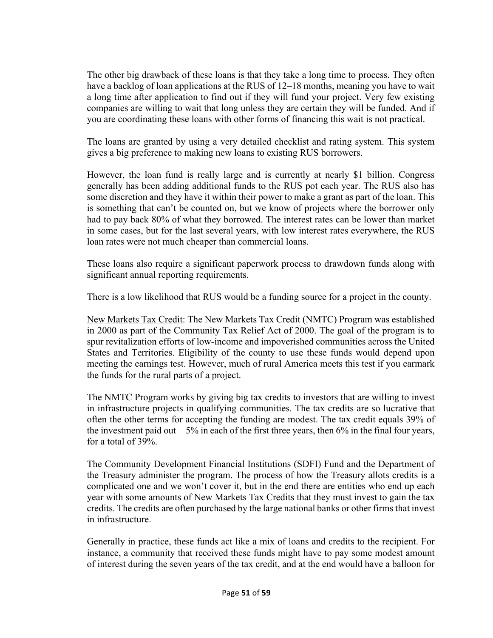The other big drawback of these loans is that they take a long time to process. They often have a backlog of loan applications at the RUS of 12–18 months, meaning you have to wait a long time after application to find out if they will fund your project. Very few existing companies are willing to wait that long unless they are certain they will be funded. And if you are coordinating these loans with other forms of financing this wait is not practical.

The loans are granted by using a very detailed checklist and rating system. This system gives a big preference to making new loans to existing RUS borrowers.

However, the loan fund is really large and is currently at nearly \$1 billion. Congress generally has been adding additional funds to the RUS pot each year. The RUS also has some discretion and they have it within their power to make a grant as part of the loan. This is something that can't be counted on, but we know of projects where the borrower only had to pay back 80% of what they borrowed. The interest rates can be lower than market in some cases, but for the last several years, with low interest rates everywhere, the RUS loan rates were not much cheaper than commercial loans.

These loans also require a significant paperwork process to drawdown funds along with significant annual reporting requirements.

There is a low likelihood that RUS would be a funding source for a project in the county.

New Markets Tax Credit: The New Markets Tax Credit (NMTC) Program was established in 2000 as part of the Community Tax Relief Act of 2000. The goal of the program is to spur revitalization efforts of low-income and impoverished communities across the United States and Territories. Eligibility of the county to use these funds would depend upon meeting the earnings test. However, much of rural America meets this test if you earmark the funds for the rural parts of a project.

The NMTC Program works by giving big tax credits to investors that are willing to invest in infrastructure projects in qualifying communities. The tax credits are so lucrative that often the other terms for accepting the funding are modest. The tax credit equals 39% of the investment paid out—5% in each of the first three years, then 6% in the final four years, for a total of 39%.

The Community Development Financial Institutions (SDFI) Fund and the Department of the Treasury administer the program. The process of how the Treasury allots credits is a complicated one and we won't cover it, but in the end there are entities who end up each year with some amounts of New Markets Tax Credits that they must invest to gain the tax credits. The credits are often purchased by the large national banks or other firms that invest in infrastructure.

Generally in practice, these funds act like a mix of loans and credits to the recipient. For instance, a community that received these funds might have to pay some modest amount of interest during the seven years of the tax credit, and at the end would have a balloon for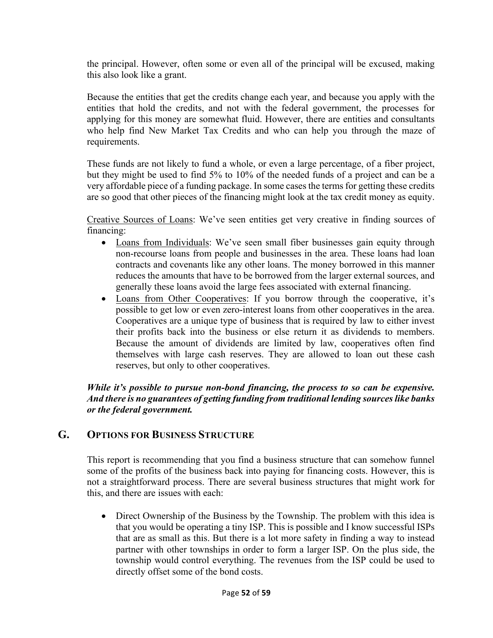the principal. However, often some or even all of the principal will be excused, making this also look like a grant.

Because the entities that get the credits change each year, and because you apply with the entities that hold the credits, and not with the federal government, the processes for applying for this money are somewhat fluid. However, there are entities and consultants who help find New Market Tax Credits and who can help you through the maze of requirements.

These funds are not likely to fund a whole, or even a large percentage, of a fiber project, but they might be used to find 5% to 10% of the needed funds of a project and can be a very affordable piece of a funding package. In some cases the terms for getting these credits are so good that other pieces of the financing might look at the tax credit money as equity.

Creative Sources of Loans: We've seen entities get very creative in finding sources of financing:

- Loans from Individuals: We've seen small fiber businesses gain equity through non-recourse loans from people and businesses in the area. These loans had loan contracts and covenants like any other loans. The money borrowed in this manner reduces the amounts that have to be borrowed from the larger external sources, and generally these loans avoid the large fees associated with external financing.
- Loans from Other Cooperatives: If you borrow through the cooperative, it's possible to get low or even zero-interest loans from other cooperatives in the area. Cooperatives are a unique type of business that is required by law to either invest their profits back into the business or else return it as dividends to members. Because the amount of dividends are limited by law, cooperatives often find themselves with large cash reserves. They are allowed to loan out these cash reserves, but only to other cooperatives.

### *While it's possible to pursue non-bond financing, the process to so can be expensive. And there is no guarantees of getting funding from traditional lending sources like banks or the federal government.*

# **G. OPTIONS FOR BUSINESS STRUCTURE**

This report is recommending that you find a business structure that can somehow funnel some of the profits of the business back into paying for financing costs. However, this is not a straightforward process. There are several business structures that might work for this, and there are issues with each:

• Direct Ownership of the Business by the Township. The problem with this idea is that you would be operating a tiny ISP. This is possible and I know successful ISPs that are as small as this. But there is a lot more safety in finding a way to instead partner with other townships in order to form a larger ISP. On the plus side, the township would control everything. The revenues from the ISP could be used to directly offset some of the bond costs.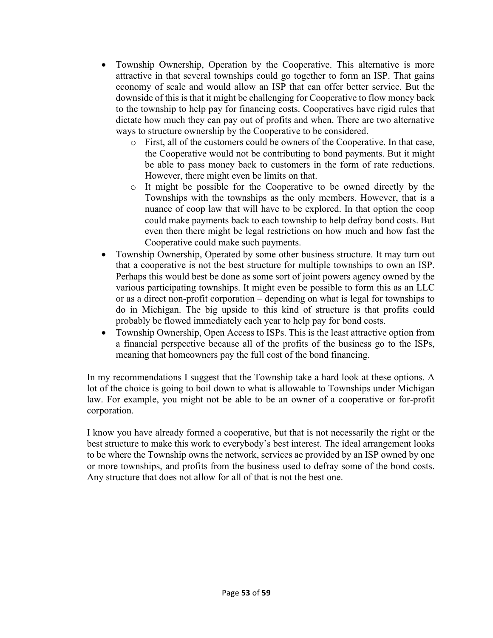- Township Ownership, Operation by the Cooperative. This alternative is more attractive in that several townships could go together to form an ISP. That gains economy of scale and would allow an ISP that can offer better service. But the downside of this is that it might be challenging for Cooperative to flow money back to the township to help pay for financing costs. Cooperatives have rigid rules that dictate how much they can pay out of profits and when. There are two alternative ways to structure ownership by the Cooperative to be considered.
	- o First, all of the customers could be owners of the Cooperative. In that case, the Cooperative would not be contributing to bond payments. But it might be able to pass money back to customers in the form of rate reductions. However, there might even be limits on that.
	- o It might be possible for the Cooperative to be owned directly by the Townships with the townships as the only members. However, that is a nuance of coop law that will have to be explored. In that option the coop could make payments back to each township to help defray bond costs. But even then there might be legal restrictions on how much and how fast the Cooperative could make such payments.
- Township Ownership, Operated by some other business structure. It may turn out that a cooperative is not the best structure for multiple townships to own an ISP. Perhaps this would best be done as some sort of joint powers agency owned by the various participating townships. It might even be possible to form this as an LLC or as a direct non-profit corporation – depending on what is legal for townships to do in Michigan. The big upside to this kind of structure is that profits could probably be flowed immediately each year to help pay for bond costs.
- Township Ownership, Open Access to ISPs. This is the least attractive option from a financial perspective because all of the profits of the business go to the ISPs, meaning that homeowners pay the full cost of the bond financing.

In my recommendations I suggest that the Township take a hard look at these options. A lot of the choice is going to boil down to what is allowable to Townships under Michigan law. For example, you might not be able to be an owner of a cooperative or for-profit corporation.

I know you have already formed a cooperative, but that is not necessarily the right or the best structure to make this work to everybody's best interest. The ideal arrangement looks to be where the Township owns the network, services ae provided by an ISP owned by one or more townships, and profits from the business used to defray some of the bond costs. Any structure that does not allow for all of that is not the best one.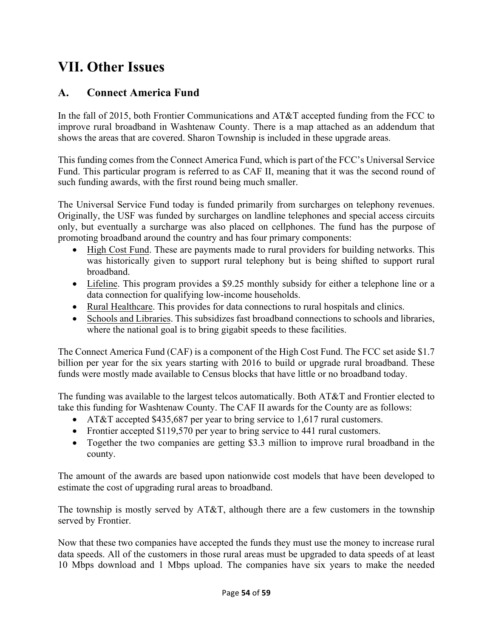# **VII. Other Issues**

# **A. Connect America Fund**

In the fall of 2015, both Frontier Communications and AT&T accepted funding from the FCC to improve rural broadband in Washtenaw County. There is a map attached as an addendum that shows the areas that are covered. Sharon Township is included in these upgrade areas.

This funding comes from the Connect America Fund, which is part of the FCC's Universal Service Fund. This particular program is referred to as CAF II, meaning that it was the second round of such funding awards, with the first round being much smaller.

The Universal Service Fund today is funded primarily from surcharges on telephony revenues. Originally, the USF was funded by surcharges on landline telephones and special access circuits only, but eventually a surcharge was also placed on cellphones. The fund has the purpose of promoting broadband around the country and has four primary components:

- High Cost Fund. These are payments made to rural providers for building networks. This was historically given to support rural telephony but is being shifted to support rural broadband.
- Lifeline. This program provides a \$9.25 monthly subsidy for either a telephone line or a data connection for qualifying low-income households.
- Rural Healthcare. This provides for data connections to rural hospitals and clinics.
- Schools and Libraries. This subsidizes fast broadband connections to schools and libraries, where the national goal is to bring gigabit speeds to these facilities.

The Connect America Fund (CAF) is a component of the High Cost Fund. The FCC set aside \$1.7 billion per year for the six years starting with 2016 to build or upgrade rural broadband. These funds were mostly made available to Census blocks that have little or no broadband today.

The funding was available to the largest telcos automatically. Both AT&T and Frontier elected to take this funding for Washtenaw County. The CAF II awards for the County are as follows:

- AT&T accepted \$435,687 per year to bring service to 1,617 rural customers.
- Frontier accepted \$119,570 per year to bring service to 441 rural customers.
- Together the two companies are getting \$3.3 million to improve rural broadband in the county.

The amount of the awards are based upon nationwide cost models that have been developed to estimate the cost of upgrading rural areas to broadband.

The township is mostly served by AT&T, although there are a few customers in the township served by Frontier.

Now that these two companies have accepted the funds they must use the money to increase rural data speeds. All of the customers in those rural areas must be upgraded to data speeds of at least 10 Mbps download and 1 Mbps upload. The companies have six years to make the needed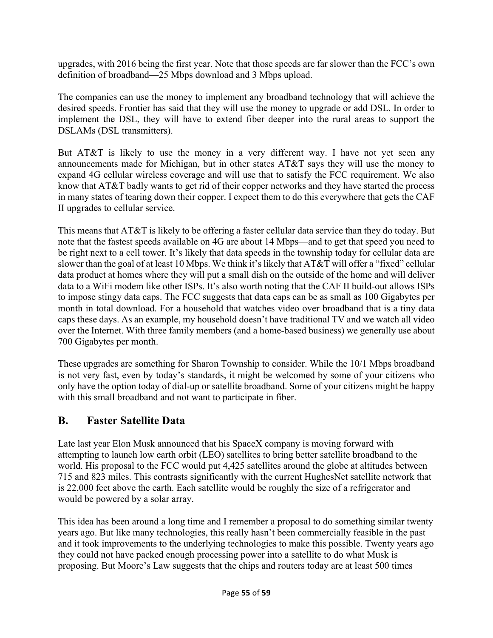upgrades, with 2016 being the first year. Note that those speeds are far slower than the FCC's own definition of broadband—25 Mbps download and 3 Mbps upload.

The companies can use the money to implement any broadband technology that will achieve the desired speeds. Frontier has said that they will use the money to upgrade or add DSL. In order to implement the DSL, they will have to extend fiber deeper into the rural areas to support the DSLAMs (DSL transmitters).

But AT&T is likely to use the money in a very different way. I have not yet seen any announcements made for Michigan, but in other states AT&T says they will use the money to expand 4G cellular wireless coverage and will use that to satisfy the FCC requirement. We also know that AT&T badly wants to get rid of their copper networks and they have started the process in many states of tearing down their copper. I expect them to do this everywhere that gets the CAF II upgrades to cellular service.

This means that AT&T is likely to be offering a faster cellular data service than they do today. But note that the fastest speeds available on 4G are about 14 Mbps—and to get that speed you need to be right next to a cell tower. It's likely that data speeds in the township today for cellular data are slower than the goal of at least 10 Mbps. We think it's likely that AT&T will offer a "fixed" cellular data product at homes where they will put a small dish on the outside of the home and will deliver data to a WiFi modem like other ISPs. It's also worth noting that the CAF II build-out allows ISPs to impose stingy data caps. The FCC suggests that data caps can be as small as 100 Gigabytes per month in total download. For a household that watches video over broadband that is a tiny data caps these days. As an example, my household doesn't have traditional TV and we watch all video over the Internet. With three family members (and a home-based business) we generally use about 700 Gigabytes per month.

These upgrades are something for Sharon Township to consider. While the 10/1 Mbps broadband is not very fast, even by today's standards, it might be welcomed by some of your citizens who only have the option today of dial-up or satellite broadband. Some of your citizens might be happy with this small broadband and not want to participate in fiber.

# **B. Faster Satellite Data**

Late last year Elon Musk announced that his SpaceX company is moving forward with attempting to launch low earth orbit (LEO) satellites to bring better satellite broadband to the world. His proposal to the FCC would put 4,425 satellites around the globe at altitudes between 715 and 823 miles. This contrasts significantly with the current HughesNet satellite network that is 22,000 feet above the earth. Each satellite would be roughly the size of a refrigerator and would be powered by a solar array.

This idea has been around a long time and I remember a proposal to do something similar twenty years ago. But like many technologies, this really hasn't been commercially feasible in the past and it took improvements to the underlying technologies to make this possible. Twenty years ago they could not have packed enough processing power into a satellite to do what Musk is proposing. But Moore's Law suggests that the chips and routers today are at least 500 times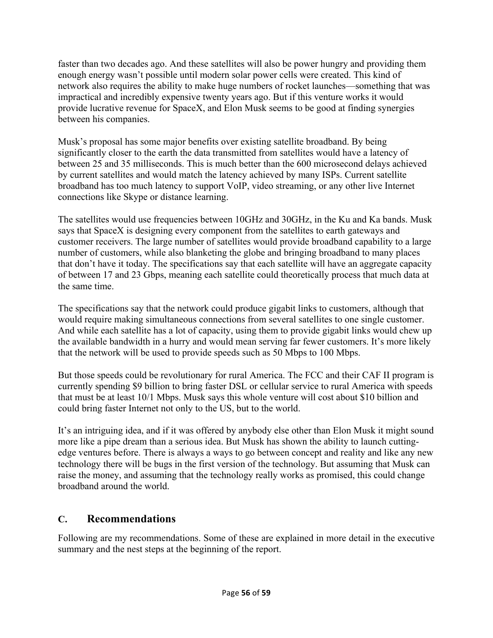faster than two decades ago. And these satellites will also be power hungry and providing them enough energy wasn't possible until modern solar power cells were created. This kind of network also requires the ability to make huge numbers of rocket launches—something that was impractical and incredibly expensive twenty years ago. But if this venture works it would provide lucrative revenue for SpaceX, and Elon Musk seems to be good at finding synergies between his companies.

Musk's proposal has some major benefits over existing satellite broadband. By being significantly closer to the earth the data transmitted from satellites would have a latency of between 25 and 35 milliseconds. This is much better than the 600 microsecond delays achieved by current satellites and would match the latency achieved by many ISPs. Current satellite broadband has too much latency to support VoIP, video streaming, or any other live Internet connections like Skype or distance learning.

The satellites would use frequencies between 10GHz and 30GHz, in the Ku and Ka bands. Musk says that SpaceX is designing every component from the satellites to earth gateways and customer receivers. The large number of satellites would provide broadband capability to a large number of customers, while also blanketing the globe and bringing broadband to many places that don't have it today. The specifications say that each satellite will have an aggregate capacity of between 17 and 23 Gbps, meaning each satellite could theoretically process that much data at the same time.

The specifications say that the network could produce gigabit links to customers, although that would require making simultaneous connections from several satellites to one single customer. And while each satellite has a lot of capacity, using them to provide gigabit links would chew up the available bandwidth in a hurry and would mean serving far fewer customers. It's more likely that the network will be used to provide speeds such as 50 Mbps to 100 Mbps.

But those speeds could be revolutionary for rural America. The FCC and their CAF II program is currently spending \$9 billion to bring faster DSL or cellular service to rural America with speeds that must be at least 10/1 Mbps. Musk says this whole venture will cost about \$10 billion and could bring faster Internet not only to the US, but to the world.

It's an intriguing idea, and if it was offered by anybody else other than Elon Musk it might sound more like a pipe dream than a serious idea. But Musk has shown the ability to launch cuttingedge ventures before. There is always a ways to go between concept and reality and like any new technology there will be bugs in the first version of the technology. But assuming that Musk can raise the money, and assuming that the technology really works as promised, this could change broadband around the world.

# **C. Recommendations**

Following are my recommendations. Some of these are explained in more detail in the executive summary and the nest steps at the beginning of the report.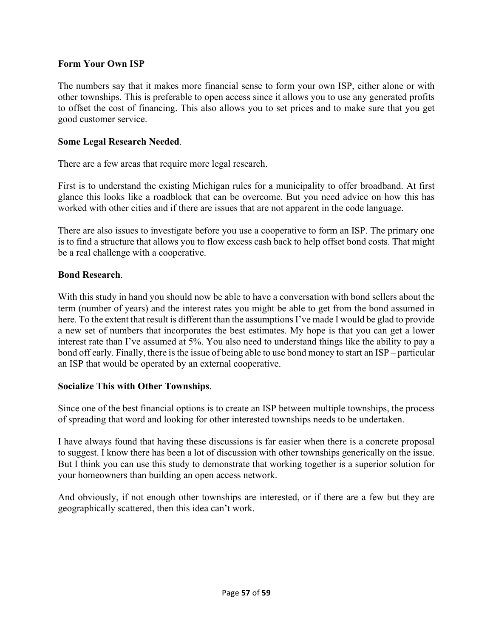#### **Form Your Own ISP**

The numbers say that it makes more financial sense to form your own ISP, either alone or with other townships. This is preferable to open access since it allows you to use any generated profits to offset the cost of financing. This also allows you to set prices and to make sure that you get good customer service.

#### **Some Legal Research Needed**.

There are a few areas that require more legal research.

First is to understand the existing Michigan rules for a municipality to offer broadband. At first glance this looks like a roadblock that can be overcome. But you need advice on how this has worked with other cities and if there are issues that are not apparent in the code language.

There are also issues to investigate before you use a cooperative to form an ISP. The primary one is to find a structure that allows you to flow excess cash back to help offset bond costs. That might be a real challenge with a cooperative.

#### **Bond Research**.

With this study in hand you should now be able to have a conversation with bond sellers about the term (number of years) and the interest rates you might be able to get from the bond assumed in here. To the extent that result is different than the assumptions I've made I would be glad to provide a new set of numbers that incorporates the best estimates. My hope is that you can get a lower interest rate than I've assumed at 5%. You also need to understand things like the ability to pay a bond off early. Finally, there is the issue of being able to use bond money to start an ISP – particular an ISP that would be operated by an external cooperative.

#### **Socialize This with Other Townships**.

Since one of the best financial options is to create an ISP between multiple townships, the process of spreading that word and looking for other interested townships needs to be undertaken.

I have always found that having these discussions is far easier when there is a concrete proposal to suggest. I know there has been a lot of discussion with other townships generically on the issue. But I think you can use this study to demonstrate that working together is a superior solution for your homeowners than building an open access network.

And obviously, if not enough other townships are interested, or if there are a few but they are geographically scattered, then this idea can't work.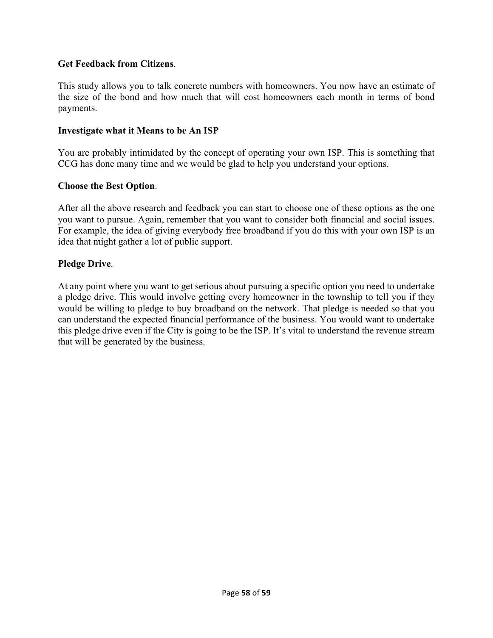#### **Get Feedback from Citizens**.

This study allows you to talk concrete numbers with homeowners. You now have an estimate of the size of the bond and how much that will cost homeowners each month in terms of bond payments.

#### **Investigate what it Means to be An ISP**

You are probably intimidated by the concept of operating your own ISP. This is something that CCG has done many time and we would be glad to help you understand your options.

#### **Choose the Best Option**.

After all the above research and feedback you can start to choose one of these options as the one you want to pursue. Again, remember that you want to consider both financial and social issues. For example, the idea of giving everybody free broadband if you do this with your own ISP is an idea that might gather a lot of public support.

#### **Pledge Drive**.

At any point where you want to get serious about pursuing a specific option you need to undertake a pledge drive. This would involve getting every homeowner in the township to tell you if they would be willing to pledge to buy broadband on the network. That pledge is needed so that you can understand the expected financial performance of the business. You would want to undertake this pledge drive even if the City is going to be the ISP. It's vital to understand the revenue stream that will be generated by the business.